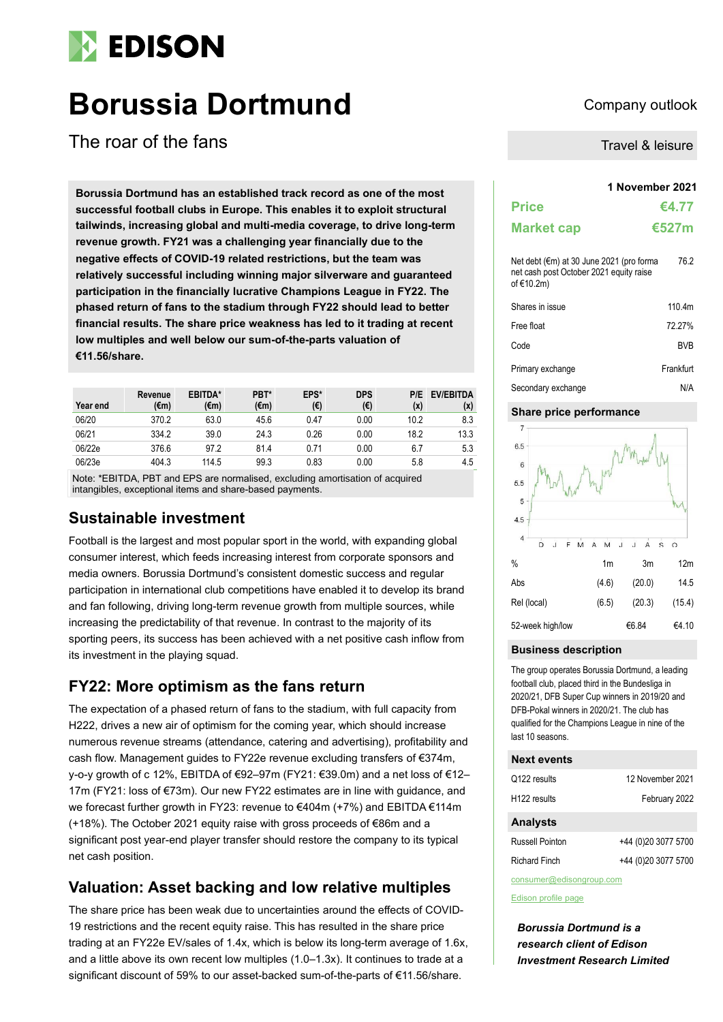# **EDISON**

# **Borussia Dortmund** Company outlook

The roar of the fans

**1 November 2021 Borussia Dortmund has an established track record as one of the most successful football clubs in Europe. This enables it to exploit structural tailwinds, increasing global and multi-media coverage, to drive long-term revenue growth. FY21 was a challenging year financially due to the negative effects of COVID-19 related restrictions, but the team was relatively successful including winning major silverware and guaranteed participation in the financially lucrative Champions League in FY22. The phased return of fans to the stadium through FY22 should lead to better financial results. The share price weakness has led to it trading at recent low multiples and well below our sum-of-the-parts valuation of €11.56/share.**

| Year end | Revenue<br>(€m) | <b>EBITDA*</b><br>(€m) | PBT*<br>(€m) | EPS*<br>(€) | <b>DPS</b><br>(€) | P/E<br>(x) | <b>EV/EBITDA</b><br>(x) |
|----------|-----------------|------------------------|--------------|-------------|-------------------|------------|-------------------------|
| 06/20    | 370.2           | 63.0                   | 45.6         | 0.47        | 0.00              | 10.2       | 8.3                     |
| 06/21    | 334.2           | 39.0                   | 24.3         | 0.26        | 0.00              | 18.2       | 13.3                    |
| 06/22e   | 376.6           | 97.2                   | 81.4         | 0.71        | 0.00              | 6.7        | 5.3                     |
| 06/23e   | 404.3           | 114.5                  | 99.3         | 0.83        | 0.00              | 5.8        | 4.5                     |

Note: \*EBITDA, PBT and EPS are normalised, excluding amortisation of acquired intangibles, exceptional items and share-based payments.

## **Sustainable investment**

Football is the largest and most popular sport in the world, with expanding global consumer interest, which feeds increasing interest from corporate sponsors and media owners. Borussia Dortmund's consistent domestic success and regular participation in international club competitions have enabled it to develop its brand and fan following, driving long-term revenue growth from multiple sources, while increasing the predictability of that revenue. In contrast to the majority of its sporting peers, its success has been achieved with a net positive cash inflow from its investment in the playing squad.

## **FY22: More optimism as the fans return**

The expectation of a phased return of fans to the stadium, with full capacity from H222, drives a new air of optimism for the coming year, which should increase numerous revenue streams (attendance, catering and advertising), profitability and cash flow. Management guides to FY22e revenue excluding transfers of €374m, y-o-y growth of c 12%, EBITDA of €92–97m (FY21: €39.0m) and a net loss of €12– 17m (FY21: loss of €73m). Our new FY22 estimates are in line with guidance, and we forecast further growth in FY23: revenue to €404m (+7%) and EBITDA €114m (+18%). The October 2021 equity raise with gross proceeds of €86m and a significant post year-end player transfer should restore the company to its typical net cash position.

## **Valuation: Asset backing and low relative multiples**

The share price has been weak due to uncertainties around the effects of COVID-19 restrictions and the recent equity raise. This has resulted in the share price trading at an FY22e EV/sales of 1.4x, which is below its long-term average of 1.6x, and a little above its own recent low multiples (1.0–1.3x). It continues to trade at a significant discount of 59% to our asset-backed sum-of-the-parts of €11.56/share.

Travel & leisure

## **Price €4.77 Market cap €527m** Net debt (€m) at 30 June 2021 (pro forma net cash post October 2021 equity raise of €10.2m) 76.2 Shares in issue 110.4m Free float 72.27% Code BVB Primary exchange Frankfurt Secondary exchange N/A

#### **Share price performance**



#### **Business description**

The group operates Borussia Dortmund, a leading football club, placed third in the Bundesliga in 2020/21, DFB Super Cup winners in 2019/20 and DFB-Pokal winners in 2020/21. The club has qualified for the Champions League in nine of the last 10 seasons.

#### **Next events**

| Q122 results             | 12 November 2021    |
|--------------------------|---------------------|
|                          |                     |
| H <sub>122</sub> results | February 2022       |
| <b>Analysts</b>          |                     |
| <b>Russell Pointon</b>   | +44 (0)20 3077 5700 |
| <b>Richard Finch</b>     | +44 (0)20 3077 5700 |

consumer@edisongroup.com

[Edison profile page](https://www.edisongroup.com/company/borussia-dortmund)

*Borussia Dortmund is a research client of Edison Investment Research Limited*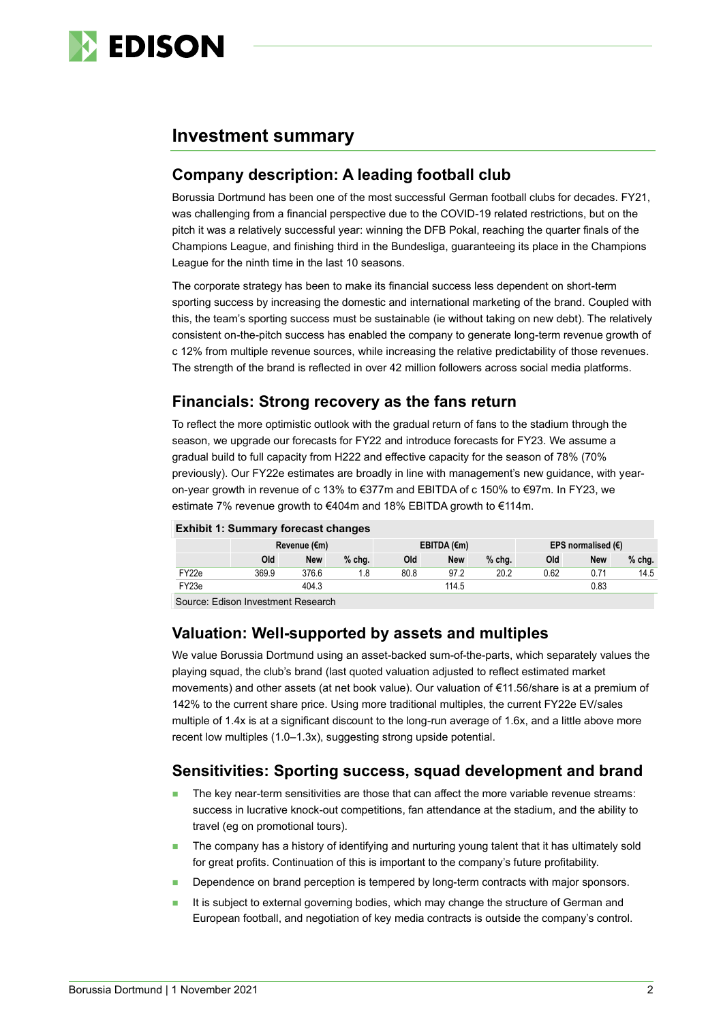

## **Investment summary**

## **Company description: A leading football club**

Borussia Dortmund has been one of the most successful German football clubs for decades. FY21, was challenging from a financial perspective due to the COVID-19 related restrictions, but on the pitch it was a relatively successful year: winning the DFB Pokal, reaching the quarter finals of the Champions League, and finishing third in the Bundesliga, guaranteeing its place in the Champions League for the ninth time in the last 10 seasons.

The corporate strategy has been to make its financial success less dependent on short-term sporting success by increasing the domestic and international marketing of the brand. Coupled with this, the team's sporting success must be sustainable (ie without taking on new debt). The relatively consistent on-the-pitch success has enabled the company to generate long-term revenue growth of c 12% from multiple revenue sources, while increasing the relative predictability of those revenues. The strength of the brand is reflected in over 42 million followers across social media platforms.

## **Financials: Strong recovery as the fans return**

To reflect the more optimistic outlook with the gradual return of fans to the stadium through the season, we upgrade our forecasts for FY22 and introduce forecasts for FY23. We assume a gradual build to full capacity from H222 and effective capacity for the season of 78% (70% previously). Our FY22e estimates are broadly in line with management's new guidance, with yearon-year growth in revenue of c 13% to €377m and EBITDA of c 150% to €97m. In FY23, we estimate 7% revenue growth to €404m and 18% EBITDA growth to €114m.

#### **Exhibit 1: Summary forecast changes**

|        |          | Revenue (€m)             |          |      | EBITDA $(\epsilon m)$ |          |      | EPS normalised $(E)$ |          |
|--------|----------|--------------------------|----------|------|-----------------------|----------|------|----------------------|----------|
|        | Old      | <b>New</b>               | $%$ chg. | Old  | <b>New</b>            | $%$ chg. | Old  | <b>New</b>           | $%$ chg. |
| FY22e  | 369.9    | 376.6                    | 1.8      | 80.8 | 97.2                  | 20.2     | 0.62 | 0.71                 | 14.5     |
| FY23e  |          | 404.3                    |          |      | 114.5                 |          |      | 0.83                 |          |
| $\sim$ | $ \cdot$ | $\overline{\phantom{a}}$ |          |      |                       |          |      |                      |          |

Source: Edison Investment Research

## **Valuation: Well-supported by assets and multiples**

We value Borussia Dortmund using an asset-backed sum-of-the-parts, which separately values the playing squad, the club's brand (last quoted valuation adjusted to reflect estimated market movements) and other assets (at net book value). Our valuation of €11.56/share is at a premium of 142% to the current share price. Using more traditional multiples, the current FY22e EV/sales multiple of 1.4x is at a significant discount to the long-run average of 1.6x, and a little above more recent low multiples (1.0–1.3x), suggesting strong upside potential.

## **Sensitivities: Sporting success, squad development and brand**

- The key near-term sensitivities are those that can affect the more variable revenue streams: success in lucrative knock-out competitions, fan attendance at the stadium, and the ability to travel (eg on promotional tours).
- The company has a history of identifying and nurturing young talent that it has ultimately sold for great profits. Continuation of this is important to the company's future profitability.
- Dependence on brand perception is tempered by long-term contracts with major sponsors.
- It is subject to external governing bodies, which may change the structure of German and European football, and negotiation of key media contracts is outside the company's control.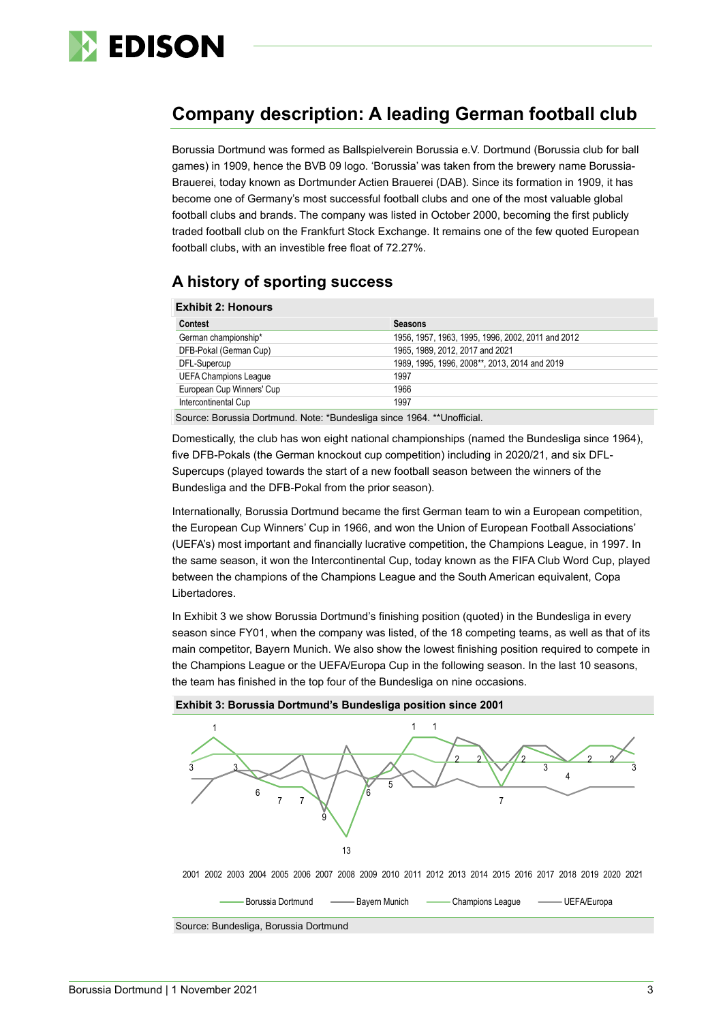

## **Company description: A leading German football club**

Borussia Dortmund was formed as Ballspielverein Borussia e.V. Dortmund (Borussia club for ball games) in 1909, hence the BVB 09 logo. 'Borussia' was taken from the brewery name Borussia-Brauerei, today known as Dortmunder Actien Brauerei (DAB). Since its formation in 1909, it has become one of Germany's most successful football clubs and one of the most valuable global football clubs and brands. The company was listed in October 2000, becoming the first publicly traded football club on the Frankfurt Stock Exchange. It remains one of the few quoted European football clubs, with an investible free float of 72.27%.

## **A history of sporting success**

| <b>Exhibit 2: Honours</b>    |                                                   |
|------------------------------|---------------------------------------------------|
| <b>Contest</b>               | <b>Seasons</b>                                    |
| German championship*         | 1956, 1957, 1963, 1995, 1996, 2002, 2011 and 2012 |
| DFB-Pokal (German Cup)       | 1965, 1989, 2012, 2017 and 2021                   |
| DFL-Supercup                 | 1989, 1995, 1996, 2008**, 2013, 2014 and 2019     |
| <b>UEFA Champions League</b> | 1997                                              |
| European Cup Winners' Cup    | 1966                                              |
| Intercontinental Cup         | 1997                                              |
|                              |                                                   |

Source: Borussia Dortmund. Note: \*Bundesliga since 1964. \*\*Unofficial.

Domestically, the club has won eight national championships (named the Bundesliga since 1964). five DFB-Pokals (the German knockout cup competition) including in 2020/21, and six DFL-Supercups (played towards the start of a new football season between the winners of the Bundesliga and the DFB-Pokal from the prior season).

Internationally, Borussia Dortmund became the first German team to win a European competition, the European Cup Winners' Cup in 1966, and won the Union of European Football Associations' (UEFA's) most important and financially lucrative competition, the Champions League, in 1997. In the same season, it won the Intercontinental Cup, today known as the FIFA Club Word Cup, played between the champions of the Champions League and the South American equivalent, Copa Libertadores.

In Exhibit 3 we show Borussia Dortmund's finishing position (quoted) in the Bundesliga in every season since FY01, when the company was listed, of the 18 competing teams, as well as that of its main competitor, Bayern Munich. We also show the lowest finishing position required to compete in the Champions League or the UEFA/Europa Cup in the following season. In the last 10 seasons, the team has finished in the top four of the Bundesliga on nine occasions.



Borussia Dortmund ———— Bayern Munich ———— Champions League ———— UEFA/Europa



Source: Bundesliga, Borussia Dortmund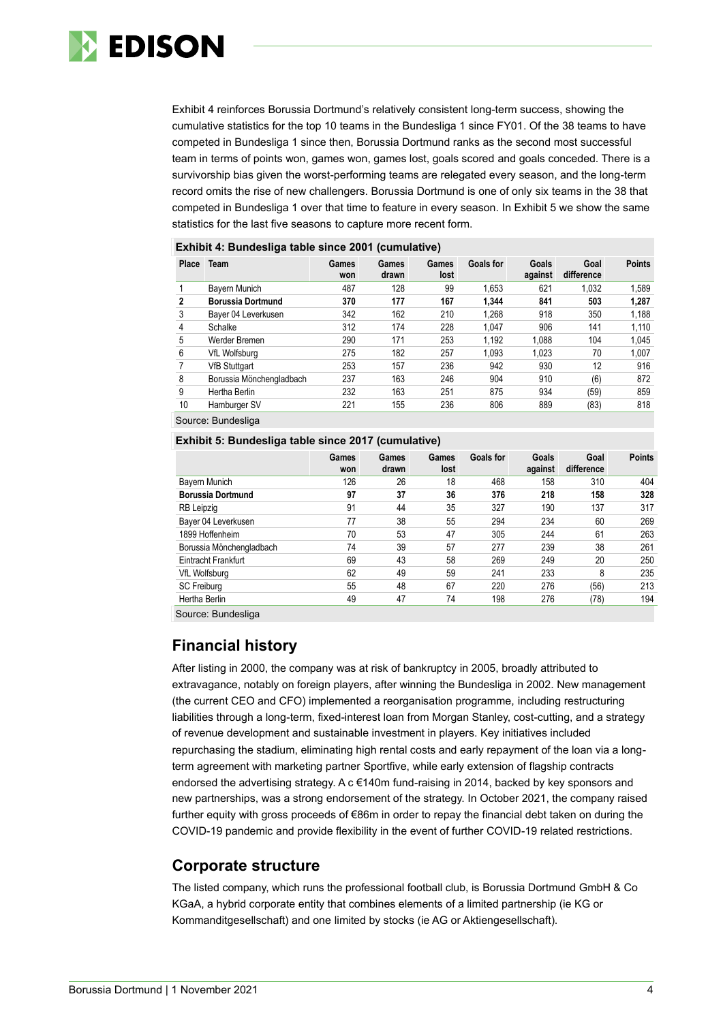

Exhibit 4 reinforces Borussia Dortmund's relatively consistent long-term success, showing the cumulative statistics for the top 10 teams in the Bundesliga 1 since FY01. Of the 38 teams to have competed in Bundesliga 1 since then, Borussia Dortmund ranks as the second most successful team in terms of points won, games won, games lost, goals scored and goals conceded. There is a survivorship bias given the worst-performing teams are relegated every season, and the long-term record omits the rise of new challengers. Borussia Dortmund is one of only six teams in the 38 that competed in Bundesliga 1 over that time to feature in every season. In Exhibit 5 we show the same statistics for the last five seasons to capture more recent form.

| Place | <b>Team</b>              | Games<br>won | Games<br>drawn | Games<br>lost | Goals for | Goals<br>against | Goal<br>difference | <b>Points</b> |
|-------|--------------------------|--------------|----------------|---------------|-----------|------------------|--------------------|---------------|
|       | Bayern Munich            | 487          | 128            | 99            | 1.653     | 621              | 1.032              | 1.589         |
| 2     | <b>Borussia Dortmund</b> | 370          | 177            | 167           | 1.344     | 841              | 503                | 1.287         |
| 3     | Bayer 04 Leverkusen      | 342          | 162            | 210           | 1.268     | 918              | 350                | 1,188         |
| 4     | Schalke                  | 312          | 174            | 228           | 1.047     | 906              | 141                | 1,110         |
| 5     | Werder Bremen            | 290          | 171            | 253           | 1,192     | 1.088            | 104                | 1.045         |
| 6     | VfL Wolfsburg            | 275          | 182            | 257           | 1.093     | 1.023            | 70                 | 1,007         |
|       | <b>VfB Stuttgart</b>     | 253          | 157            | 236           | 942       | 930              | 12                 | 916           |
| 8     | Borussia Mönchengladbach | 237          | 163            | 246           | 904       | 910              | (6)                | 872           |
| 9     | Hertha Berlin            | 232          | 163            | 251           | 875       | 934              | (59)               | 859           |
| 10    | Hamburger SV             | 221          | 155            | 236           | 806       | 889              | (83)               | 818           |

#### **Exhibit 4: Bundesliga table since 2001 (cumulative)**

Source: Bundesliga

#### **Exhibit 5: Bundesliga table since 2017 (cumulative)**

|                          | Games<br>won | Games<br>drawn | Games<br>lost | Goals for | Goals<br>against | Goal<br>difference | <b>Points</b> |
|--------------------------|--------------|----------------|---------------|-----------|------------------|--------------------|---------------|
| Bayern Munich            | 126          | 26             | 18            | 468       | 158              | 310                | 404           |
| <b>Borussia Dortmund</b> | 97           | 37             | 36            | 376       | 218              | 158                | 328           |
| RB Leipzig               | 91           | 44             | 35            | 327       | 190              | 137                | 317           |
| Bayer 04 Leverkusen      | 77           | 38             | 55            | 294       | 234              | 60                 | 269           |
| 1899 Hoffenheim          | 70           | 53             | 47            | 305       | 244              | 61                 | 263           |
| Borussia Mönchengladbach | 74           | 39             | 57            | 277       | 239              | 38                 | 261           |
| Eintracht Frankfurt      | 69           | 43             | 58            | 269       | 249              | 20                 | 250           |
| VfL Wolfsburg            | 62           | 49             | 59            | 241       | 233              | 8                  | 235           |
| SC Freiburg              | 55           | 48             | 67            | 220       | 276              | (56)               | 213           |
| Hertha Berlin            | 49           | 47             | 74            | 198       | 276              | (78)               | 194           |

Source: Bundesliga

## **Financial history**

After listing in 2000, the company was at risk of bankruptcy in 2005, broadly attributed to extravagance, notably on foreign players, after winning the Bundesliga in 2002. New management (the current CEO and CFO) implemented a reorganisation programme, including restructuring liabilities through a long-term, fixed-interest loan from Morgan Stanley, cost-cutting, and a strategy of revenue development and sustainable investment in players. Key initiatives included repurchasing the stadium, eliminating high rental costs and early repayment of the loan via a longterm agreement with marketing partner Sportfive, while early extension of flagship contracts endorsed the advertising strategy. A c €140m fund-raising in 2014, backed by key sponsors and new partnerships, was a strong endorsement of the strategy. In October 2021, the company raised further equity with gross proceeds of €86m in order to repay the financial debt taken on during the COVID-19 pandemic and provide flexibility in the event of further COVID-19 related restrictions.

### **Corporate structure**

The listed company, which runs the professional football club, is Borussia Dortmund GmbH & Co KGaA, a hybrid corporate entity that combines elements of a limited partnership (ie KG or Kommanditgesellschaft) and one limited by stocks (ie AG or Aktiengesellschaft).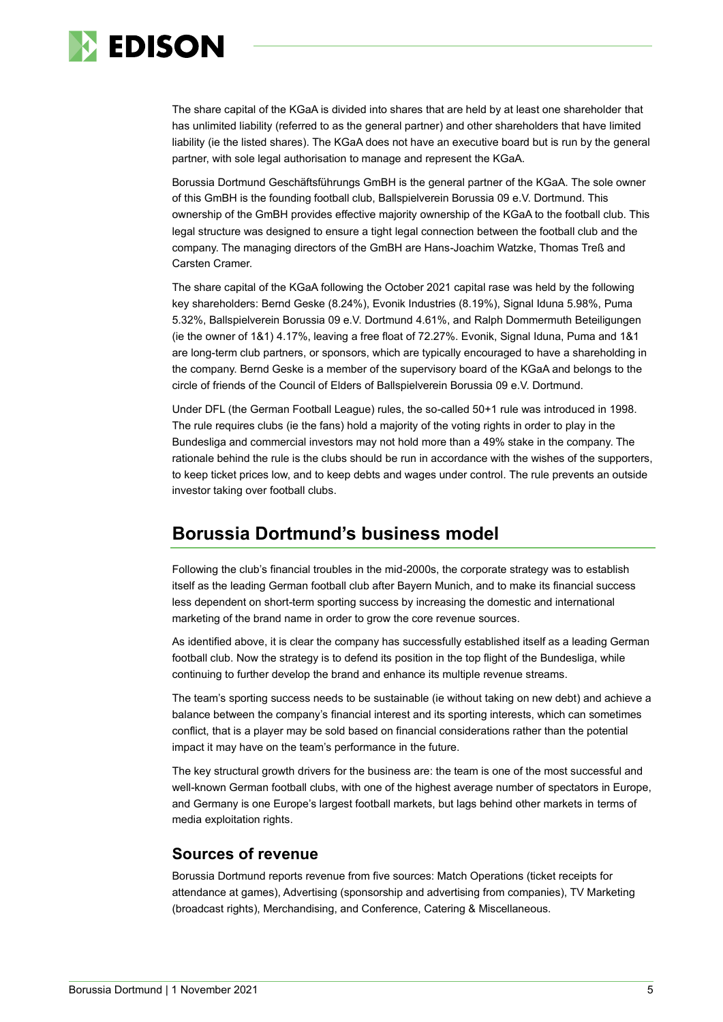

The share capital of the KGaA is divided into shares that are held by at least one shareholder that has unlimited liability (referred to as the general partner) and other shareholders that have limited liability (ie the listed shares). The KGaA does not have an executive board but is run by the general partner, with sole legal authorisation to manage and represent the KGaA.

Borussia Dortmund Geschäftsführungs GmBH is the general partner of the KGaA. The sole owner of this GmBH is the founding football club, Ballspielverein Borussia 09 e.V. Dortmund. This ownership of the GmBH provides effective majority ownership of the KGaA to the football club. This legal structure was designed to ensure a tight legal connection between the football club and the company. The managing directors of the GmBH are Hans-Joachim Watzke, Thomas Treß and Carsten Cramer.

The share capital of the KGaA following the October 2021 capital rase was held by the following key shareholders: Bernd Geske (8.24%), Evonik Industries (8.19%), Signal Iduna 5.98%, Puma 5.32%, Ballspielverein Borussia 09 e.V. Dortmund 4.61%, and Ralph Dommermuth Beteiligungen (ie the owner of 1&1) 4.17%, leaving a free float of 72.27%. Evonik, Signal Iduna, Puma and 1&1 are long-term club partners, or sponsors, which are typically encouraged to have a shareholding in the company. Bernd Geske is a member of the supervisory board of the KGaA and belongs to the circle of friends of the Council of Elders of Ballspielverein Borussia 09 e.V. Dortmund.

Under DFL (the German Football League) rules, the so-called 50+1 rule was introduced in 1998. The rule requires clubs (ie the fans) hold a majority of the voting rights in order to play in the Bundesliga and commercial investors may not hold more than a 49% stake in the company. The rationale behind the rule is the clubs should be run in accordance with the wishes of the supporters, to keep ticket prices low, and to keep debts and wages under control. The rule prevents an outside investor taking over football clubs.

## **Borussia Dortmund's business model**

Following the club's financial troubles in the mid-2000s, the corporate strategy was to establish itself as the leading German football club after Bayern Munich, and to make its financial success less dependent on short-term sporting success by increasing the domestic and international marketing of the brand name in order to grow the core revenue sources.

As identified above, it is clear the company has successfully established itself as a leading German football club. Now the strategy is to defend its position in the top flight of the Bundesliga, while continuing to further develop the brand and enhance its multiple revenue streams.

The team's sporting success needs to be sustainable (ie without taking on new debt) and achieve a balance between the company's financial interest and its sporting interests, which can sometimes conflict, that is a player may be sold based on financial considerations rather than the potential impact it may have on the team's performance in the future.

The key structural growth drivers for the business are: the team is one of the most successful and well-known German football clubs, with one of the highest average number of spectators in Europe, and Germany is one Europe's largest football markets, but lags behind other markets in terms of media exploitation rights.

### **Sources of revenue**

Borussia Dortmund reports revenue from five sources: Match Operations (ticket receipts for attendance at games), Advertising (sponsorship and advertising from companies), TV Marketing (broadcast rights), Merchandising, and Conference, Catering & Miscellaneous.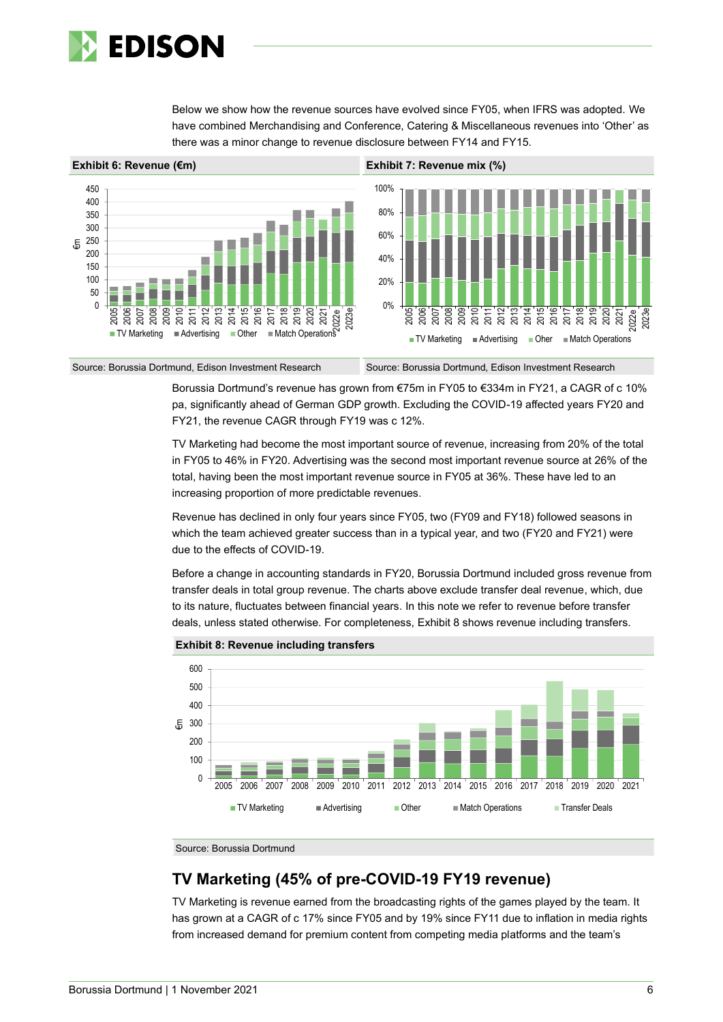

Below we show how the revenue sources have evolved since FY05, when IFRS was adopted. We have combined Merchandising and Conference, Catering & Miscellaneous revenues into 'Other' as there was a minor change to revenue disclosure between FY14 and FY15.



Source: Borussia Dortmund, Edison Investment Research Source: Borussia Dortmund, Edison Investment Research

Borussia Dortmund's revenue has grown from €75m in FY05 to €334m in FY21, a CAGR of c 10% pa, significantly ahead of German GDP growth. Excluding the COVID-19 affected years FY20 and FY21, the revenue CAGR through FY19 was c 12%.

TV Marketing had become the most important source of revenue, increasing from 20% of the total in FY05 to 46% in FY20. Advertising was the second most important revenue source at 26% of the total, having been the most important revenue source in FY05 at 36%. These have led to an increasing proportion of more predictable revenues.

Revenue has declined in only four years since FY05, two (FY09 and FY18) followed seasons in which the team achieved greater success than in a typical year, and two (FY20 and FY21) were due to the effects of COVID-19.

Before a change in accounting standards in FY20, Borussia Dortmund included gross revenue from transfer deals in total group revenue. The charts above exclude transfer deal revenue, which, due to its nature, fluctuates between financial years. In this note we refer to revenue before transfer deals, unless stated otherwise. For completeness, Exhibit 8 shows revenue including transfers.



**Exhibit 8: Revenue including transfers**

Source: Borussia Dortmund

## **TV Marketing (45% of pre-COVID-19 FY19 revenue)**

TV Marketing is revenue earned from the broadcasting rights of the games played by the team. It has grown at a CAGR of c 17% since FY05 and by 19% since FY11 due to inflation in media rights from increased demand for premium content from competing media platforms and the team's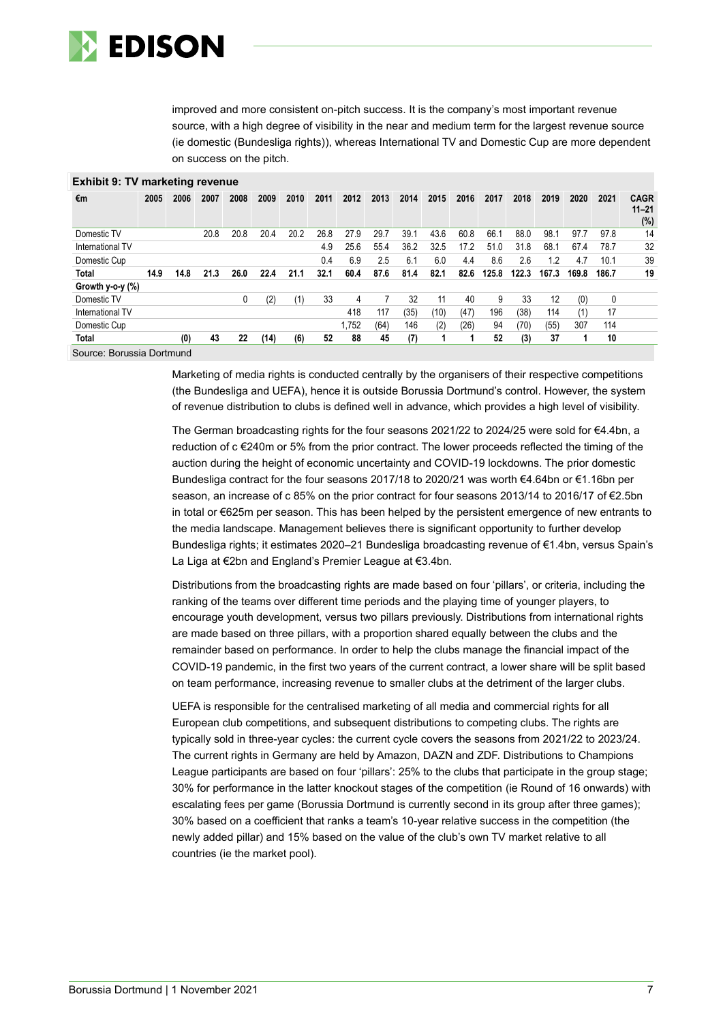

improved and more consistent on-pitch success. It is the company's most important revenue source, with a high degree of visibility in the near and medium term for the largest revenue source (ie domestic (Bundesliga rights)), whereas International TV and Domestic Cup are more dependent on success on the pitch.

| $\blacksquare$   |      |      |      |      |      |      |      |       |      |      |      |      |       |       |       |       |       |                                    |
|------------------|------|------|------|------|------|------|------|-------|------|------|------|------|-------|-------|-------|-------|-------|------------------------------------|
| €m               | 2005 | 2006 | 2007 | 2008 | 2009 | 2010 | 2011 | 2012  | 2013 | 2014 | 2015 | 2016 | 2017  | 2018  | 2019  | 2020  | 2021  | <b>CAGR</b><br>$11 - 21$<br>$(\%)$ |
| Domestic TV      |      |      | 20.8 | 20.8 | 20.4 | 20.2 | 26.8 | 27.9  | 29.7 | 39.1 | 43.6 | 60.8 | 66.1  | 88.0  | 98.1  | 97.7  | 97.8  | 14                                 |
| International TV |      |      |      |      |      |      | 4.9  | 25.6  | 55.4 | 36.2 | 32.5 | 17.2 | 51.0  | 31.8  | 68.1  | 67.4  | 78.7  | 32                                 |
| Domestic Cup     |      |      |      |      |      |      | 0.4  | 6.9   | 2.5  | 6.1  | 6.0  | 4.4  | 8.6   | 2.6   | 1.2   | 4.7   | 10.1  | 39                                 |
| <b>Total</b>     | 14.9 | 14.8 | 21.3 | 26.0 | 22.4 | 21.1 | 32.1 | 60.4  | 87.6 | 81.4 | 82.1 | 82.6 | 125.8 | 122.3 | 167.3 | 169.8 | 186.7 | 19                                 |
| Growth y-o-y (%) |      |      |      |      |      |      |      |       |      |      |      |      |       |       |       |       |       |                                    |
| Domestic TV      |      |      |      | 0    | (2)  |      | 33   | 4     |      | 32   | 11   | 40   | 9     | 33    | 12    | (0)   | 0     |                                    |
| International TV |      |      |      |      |      |      |      | 418   | 117  | (35) | (10) | (47) | 196   | (38)  | 114   | (1)   | 17    |                                    |
| Domestic Cup     |      |      |      |      |      |      |      | 1,752 | (64) | 146  | (2)  | (26) | 94    | (70)  | (55)  | 307   | 114   |                                    |
| <b>Total</b>     |      | (0)  | 43   | 22   | (14) | (6)  | 52   | 88    | 45   | (7)  |      |      | 52    | (3)   | 37    |       | 10    |                                    |

#### **Exhibit 9: TV marketing revenue**

Source: Borussia Dortmund

Marketing of media rights is conducted centrally by the organisers of their respective competitions (the Bundesliga and UEFA), hence it is outside Borussia Dortmund's control. However, the system of revenue distribution to clubs is defined well in advance, which provides a high level of visibility.

The German broadcasting rights for the four seasons 2021/22 to 2024/25 were sold for €4.4bn, a reduction of c €240m or 5% from the prior contract. The lower proceeds reflected the timing of the auction during the height of economic uncertainty and COVID-19 lockdowns. The prior domestic Bundesliga contract for the four seasons 2017/18 to 2020/21 was worth €4.64bn or €1.16bn per season, an increase of c 85% on the prior contract for four seasons 2013/14 to 2016/17 of €2.5bn in total or €625m per season. This has been helped by the persistent emergence of new entrants to the media landscape. Management believes there is significant opportunity to further develop Bundesliga rights; it estimates 2020–21 Bundesliga broadcasting revenue of €1.4bn, versus Spain's La Liga at €2bn and England's Premier League at €3.4bn.

Distributions from the broadcasting rights are made based on four 'pillars', or criteria, including the ranking of the teams over different time periods and the playing time of younger players, to encourage youth development, versus two pillars previously. Distributions from international rights are made based on three pillars, with a proportion shared equally between the clubs and the remainder based on performance. In order to help the clubs manage the financial impact of the COVID-19 pandemic, in the first two years of the current contract, a lower share will be split based on team performance, increasing revenue to smaller clubs at the detriment of the larger clubs.

UEFA is responsible for the centralised marketing of all media and commercial rights for all European club competitions, and subsequent distributions to competing clubs. The rights are typically sold in three-year cycles: the current cycle covers the seasons from 2021/22 to 2023/24. The current rights in Germany are held by Amazon, DAZN and ZDF. Distributions to Champions League participants are based on four 'pillars': 25% to the clubs that participate in the group stage; 30% for performance in the latter knockout stages of the competition (ie Round of 16 onwards) with escalating fees per game (Borussia Dortmund is currently second in its group after three games); 30% based on a coefficient that ranks a team's 10-year relative success in the competition (the newly added pillar) and 15% based on the value of the club's own TV market relative to all countries (ie the market pool).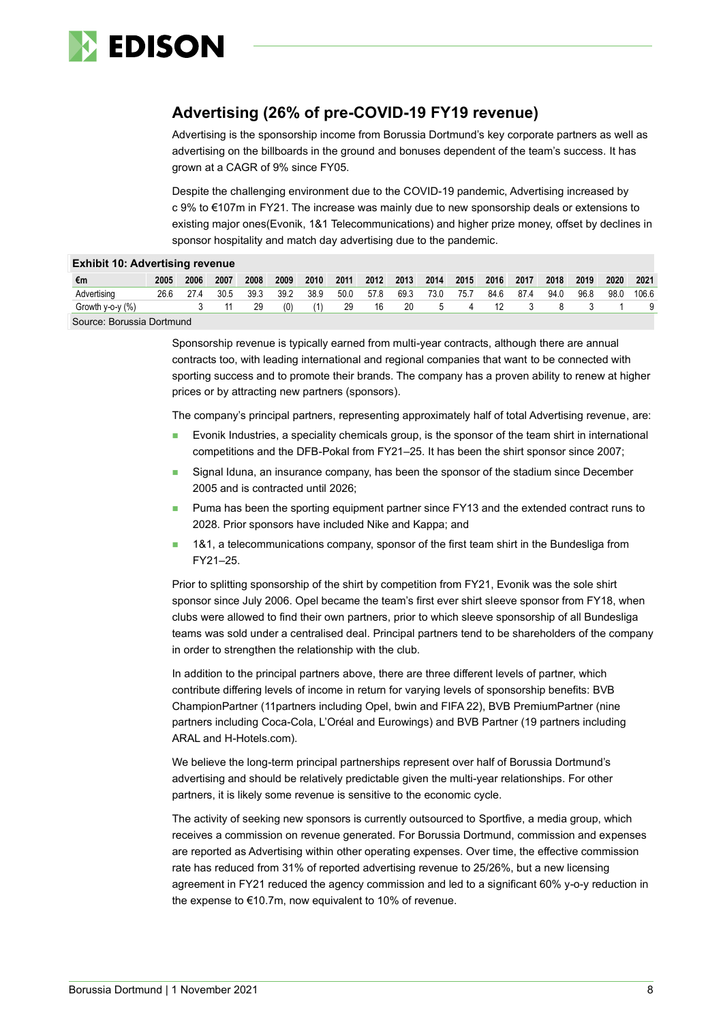

## **Advertising (26% of pre-COVID-19 FY19 revenue)**

Advertising is the sponsorship income from Borussia Dortmund's key corporate partners as well as advertising on the billboards in the ground and bonuses dependent of the team's success. It has grown at a CAGR of 9% since FY05.

Despite the challenging environment due to the COVID-19 pandemic, Advertising increased by c 9% to €107m in FY21. The increase was mainly due to new sponsorship deals or extensions to existing major ones(Evonik, 1&1 Telecommunications) and higher prize money, offset by declines in sponsor hospitality and match day advertising due to the pandemic.

|                        | <b>Exhibit 10: Advertising revenue</b> |      |      |      |      |      |      |      |      |               |      |      |      |      |      |      |       |
|------------------------|----------------------------------------|------|------|------|------|------|------|------|------|---------------|------|------|------|------|------|------|-------|
| €m                     | 2005                                   | 2006 | 2007 | 2008 | 2009 | 2010 | 2011 | 2012 | 2013 | 2014          | 2015 | 2016 | 2017 | 2018 | 2019 | 2020 | 2021  |
| Advertising            | 26.6                                   | 27.4 | 30.5 | 39.3 | 39.2 | 38.9 | 50.0 | 57.8 | 69.3 | 73.0          | 75.7 | 84.6 | 87.4 | 94.0 | 96.8 | 98.0 | 106.6 |
| Growth $v$ -o- $v$ (%) |                                        |      | 11   | 29   | (0)  |      | 29   | 16   | 20   | $\mathcal{D}$ |      |      |      |      |      |      |       |

Source: Borussia Dortmund

Sponsorship revenue is typically earned from multi-year contracts, although there are annual contracts too, with leading international and regional companies that want to be connected with sporting success and to promote their brands. The company has a proven ability to renew at higher prices or by attracting new partners (sponsors).

The company's principal partners, representing approximately half of total Advertising revenue, are:

- Evonik Industries, a speciality chemicals group, is the sponsor of the team shirt in international competitions and the DFB-Pokal from FY21–25. It has been the shirt sponsor since 2007;
- Signal Iduna, an insurance company, has been the sponsor of the stadium since December 2005 and is contracted until 2026;
- ◼ Puma has been the sporting equipment partner since FY13 and the extended contract runs to 2028. Prior sponsors have included Nike and Kappa; and
- 1&1, a telecommunications company, sponsor of the first team shirt in the Bundesliga from FY21–25.

Prior to splitting sponsorship of the shirt by competition from FY21, Evonik was the sole shirt sponsor since July 2006. Opel became the team's first ever shirt sleeve sponsor from FY18, when clubs were allowed to find their own partners, prior to which sleeve sponsorship of all Bundesliga teams was sold under a centralised deal. Principal partners tend to be shareholders of the company in order to strengthen the relationship with the club.

In addition to the principal partners above, there are three different levels of partner, which contribute differing levels of income in return for varying levels of sponsorship benefits: BVB ChampionPartner (11partners including Opel, bwin and FIFA 22), BVB PremiumPartner (nine partners including Coca-Cola, L'Oréal and Eurowings) and BVB Partner (19 partners including ARAL and H-Hotels.com).

We believe the long-term principal partnerships represent over half of Borussia Dortmund's advertising and should be relatively predictable given the multi-year relationships. For other partners, it is likely some revenue is sensitive to the economic cycle.

The activity of seeking new sponsors is currently outsourced to Sportfive, a media group, which receives a commission on revenue generated. For Borussia Dortmund, commission and expenses are reported as Advertising within other operating expenses. Over time, the effective commission rate has reduced from 31% of reported advertising revenue to 25/26%, but a new licensing agreement in FY21 reduced the agency commission and led to a significant 60% y-o-y reduction in the expense to €10.7m, now equivalent to 10% of revenue.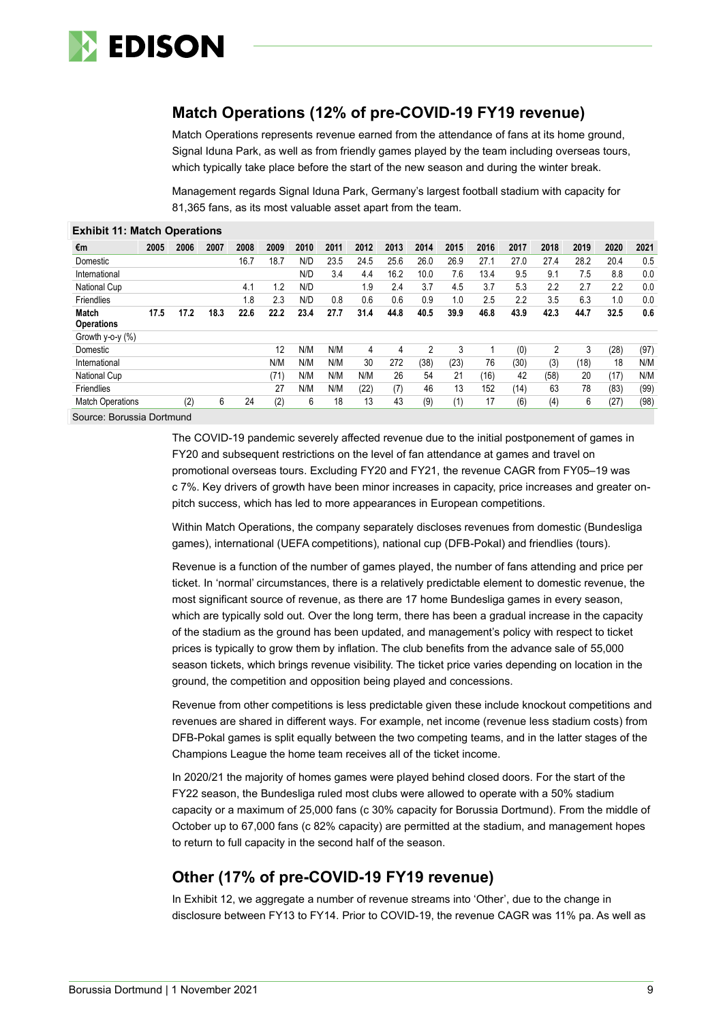

## **Match Operations (12% of pre-COVID-19 FY19 revenue)**

Match Operations represents revenue earned from the attendance of fans at its home ground, Signal Iduna Park, as well as from friendly games played by the team including overseas tours, which typically take place before the start of the new season and during the winter break.

Management regards Signal Iduna Park, Germany's largest football stadium with capacity for 81,365 fans, as its most valuable asset apart from the team.

| <b>Exhibit 11: Match Operations</b> |      |      |      |      |      |      |      |      |      |      |      |      |      |      |      |      |      |
|-------------------------------------|------|------|------|------|------|------|------|------|------|------|------|------|------|------|------|------|------|
| €m                                  | 2005 | 2006 | 2007 | 2008 | 2009 | 2010 | 2011 | 2012 | 2013 | 2014 | 2015 | 2016 | 2017 | 2018 | 2019 | 2020 | 2021 |
| Domestic                            |      |      |      | 16.7 | 18.7 | N/D  | 23.5 | 24.5 | 25.6 | 26.0 | 26.9 | 27.1 | 27.0 | 27.4 | 28.2 | 20.4 | 0.5  |
| International                       |      |      |      |      |      | N/D  | 3.4  | 4.4  | 16.2 | 10.0 | 7.6  | 13.4 | 9.5  | 9.1  | 7.5  | 8.8  | 0.0  |
| National Cup                        |      |      |      | 4.1  | 1.2  | N/D  |      | 1.9  | 2.4  | 3.7  | 4.5  | 3.7  | 5.3  | 2.2  | 2.7  | 2.2  | 0.0  |
| Friendlies                          |      |      |      | 1.8  | 2.3  | N/D  | 0.8  | 0.6  | 0.6  | 0.9  | 1.0  | 2.5  | 2.2  | 3.5  | 6.3  | 1.0  | 0.0  |
| <b>Match</b>                        | 17.5 | 17.2 | 18.3 | 22.6 | 22.2 | 23.4 | 27.7 | 31.4 | 44.8 | 40.5 | 39.9 | 46.8 | 43.9 | 42.3 | 44.7 | 32.5 | 0.6  |
| <b>Operations</b>                   |      |      |      |      |      |      |      |      |      |      |      |      |      |      |      |      |      |
| Growth y-o-y (%)                    |      |      |      |      |      |      |      |      |      |      |      |      |      |      |      |      |      |
| Domestic                            |      |      |      |      | 12   | N/M  | N/M  | 4    | 4    | 2    | 3    |      | (0)  | 2    | 3    | (28) | (97) |
| International                       |      |      |      |      | N/M  | N/M  | N/M  | 30   | 272  | (38) | (23) | 76   | (30) | (3)  | (18) | 18   | N/M  |
| National Cup                        |      |      |      |      | (71) | N/M  | N/M  | N/M  | 26   | 54   | 21   | (16) | 42   | (58) | 20   | (17) | N/M  |
| Friendlies                          |      |      |      |      | 27   | N/M  | N/M  | (22) | (7)  | 46   | 13   | 152  | (14) | 63   | 78   | (83) | (99) |
| <b>Match Operations</b>             |      | (2)  | 6    | 24   | (2)  | 6    | 18   | 13   | 43   | (9)  | (1)  | 17   | (6)  | (4)  | 6    | (27  | (98) |

Source: Borussia Dortmund

The COVID-19 pandemic severely affected revenue due to the initial postponement of games in FY20 and subsequent restrictions on the level of fan attendance at games and travel on promotional overseas tours. Excluding FY20 and FY21, the revenue CAGR from FY05–19 was c 7%. Key drivers of growth have been minor increases in capacity, price increases and greater onpitch success, which has led to more appearances in European competitions.

Within Match Operations, the company separately discloses revenues from domestic (Bundesliga games), international (UEFA competitions), national cup (DFB-Pokal) and friendlies (tours).

Revenue is a function of the number of games played, the number of fans attending and price per ticket. In 'normal' circumstances, there is a relatively predictable element to domestic revenue, the most significant source of revenue, as there are 17 home Bundesliga games in every season, which are typically sold out. Over the long term, there has been a gradual increase in the capacity of the stadium as the ground has been updated, and management's policy with respect to ticket prices is typically to grow them by inflation. The club benefits from the advance sale of 55,000 season tickets, which brings revenue visibility. The ticket price varies depending on location in the ground, the competition and opposition being played and concessions.

Revenue from other competitions is less predictable given these include knockout competitions and revenues are shared in different ways. For example, net income (revenue less stadium costs) from DFB-Pokal games is split equally between the two competing teams, and in the latter stages of the Champions League the home team receives all of the ticket income.

In 2020/21 the majority of homes games were played behind closed doors. For the start of the FY22 season, the Bundesliga ruled most clubs were allowed to operate with a 50% stadium capacity or a maximum of 25,000 fans (c 30% capacity for Borussia Dortmund). From the middle of October up to 67,000 fans (c 82% capacity) are permitted at the stadium, and management hopes to return to full capacity in the second half of the season.

## **Other (17% of pre-COVID-19 FY19 revenue)**

In Exhibit 12, we aggregate a number of revenue streams into 'Other', due to the change in disclosure between FY13 to FY14. Prior to COVID-19, the revenue CAGR was 11% pa. As well as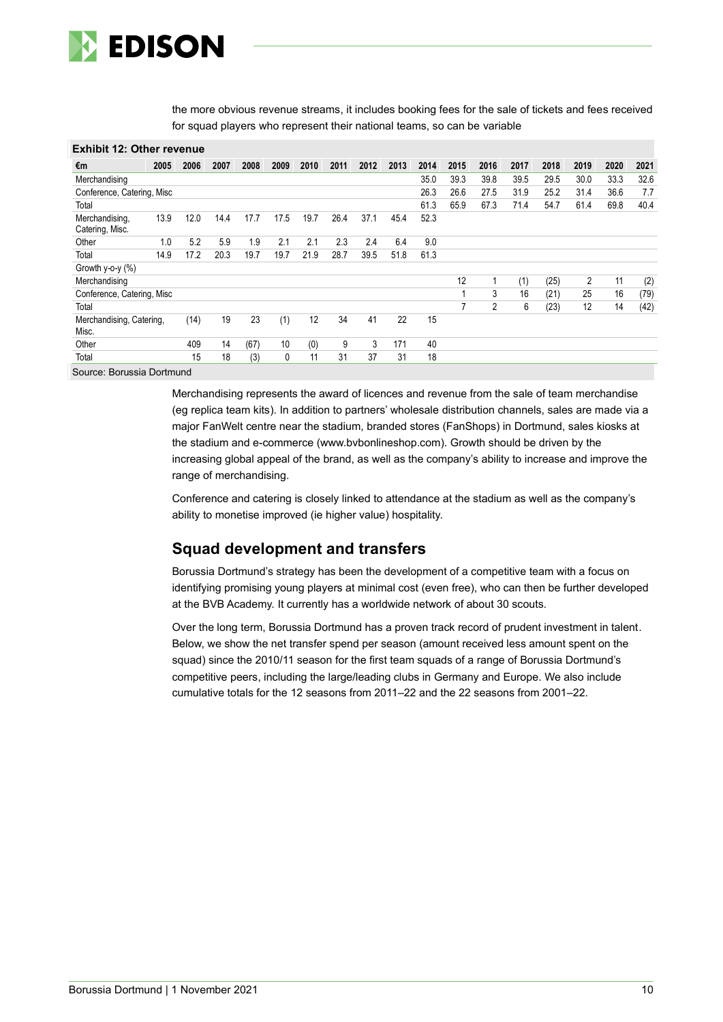

the more obvious revenue streams, it includes booking fees for the sale of tickets and fees received for squad players who represent their national teams, so can be variable

| <b>Exhibit 12: Other revenue</b>  |      |      |      |      |      |      |      |      |      |      |      |      |      |      |      |      |      |
|-----------------------------------|------|------|------|------|------|------|------|------|------|------|------|------|------|------|------|------|------|
| €m                                | 2005 | 2006 | 2007 | 2008 | 2009 | 2010 | 2011 | 2012 | 2013 | 2014 | 2015 | 2016 | 2017 | 2018 | 2019 | 2020 | 2021 |
| Merchandising                     |      |      |      |      |      |      |      |      |      | 35.0 | 39.3 | 39.8 | 39.5 | 29.5 | 30.0 | 33.3 | 32.6 |
| Conference, Catering, Misc        |      |      |      |      |      |      |      |      |      | 26.3 | 26.6 | 27.5 | 31.9 | 25.2 | 31.4 | 36.6 | 7.7  |
| Total                             |      |      |      |      |      |      |      |      |      | 61.3 | 65.9 | 67.3 | 71.4 | 54.7 | 61.4 | 69.8 | 40.4 |
| Merchandising,<br>Catering, Misc. | 13.9 | 12.0 | 14.4 | 17.7 | 17.5 | 19.7 | 26.4 | 37.1 | 45.4 | 52.3 |      |      |      |      |      |      |      |
| Other                             | 1.0  | 5.2  | 5.9  | 1.9  | 2.1  | 2.1  | 2.3  | 2.4  | 6.4  | 9.0  |      |      |      |      |      |      |      |
| Total                             | 14.9 | 17.2 | 20.3 | 19.7 | 19.7 | 21.9 | 28.7 | 39.5 | 51.8 | 61.3 |      |      |      |      |      |      |      |
| Growth y-o-y (%)                  |      |      |      |      |      |      |      |      |      |      |      |      |      |      |      |      |      |
| Merchandising                     |      |      |      |      |      |      |      |      |      |      | 12   |      | (1)  | (25) | 2    | 11   | (2)  |
| Conference, Catering, Misc        |      |      |      |      |      |      |      |      |      |      |      | 3    | 16   | (21) | 25   | 16   | (79) |
| Total                             |      |      |      |      |      |      |      |      |      |      |      | 2    | 6    | (23) | 12   | 14   | (42) |
| Merchandising, Catering,<br>Misc. |      | (14) | 19   | 23   | (1)  | 12   | 34   | 41   | 22   | 15   |      |      |      |      |      |      |      |
| Other                             |      | 409  | 14   | (67) | 10   | (0)  | 9    | 3    | 171  | 40   |      |      |      |      |      |      |      |
| Total                             |      | 15   | 18   | (3)  | 0    | 11   | 31   | 37   | 31   | 18   |      |      |      |      |      |      |      |

Source: Borussia Dortmund

Merchandising represents the award of licences and revenue from the sale of team merchandise (eg replica team kits). In addition to partners' wholesale distribution channels, sales are made via a major FanWelt centre near the stadium, branded stores (FanShops) in Dortmund, sales kiosks at the stadium and e-commerce (www.bvbonlineshop.com). Growth should be driven by the increasing global appeal of the brand, as well as the company's ability to increase and improve the range of merchandising.

Conference and catering is closely linked to attendance at the stadium as well as the company's ability to monetise improved (ie higher value) hospitality.

## **Squad development and transfers**

Borussia Dortmund's strategy has been the development of a competitive team with a focus on identifying promising young players at minimal cost (even free), who can then be further developed at the BVB Academy. It currently has a worldwide network of about 30 scouts.

Over the long term, Borussia Dortmund has a proven track record of prudent investment in talent. Below, we show the net transfer spend per season (amount received less amount spent on the squad) since the 2010/11 season for the first team squads of a range of Borussia Dortmund's competitive peers, including the large/leading clubs in Germany and Europe. We also include cumulative totals for the 12 seasons from 2011–22 and the 22 seasons from 2001–22.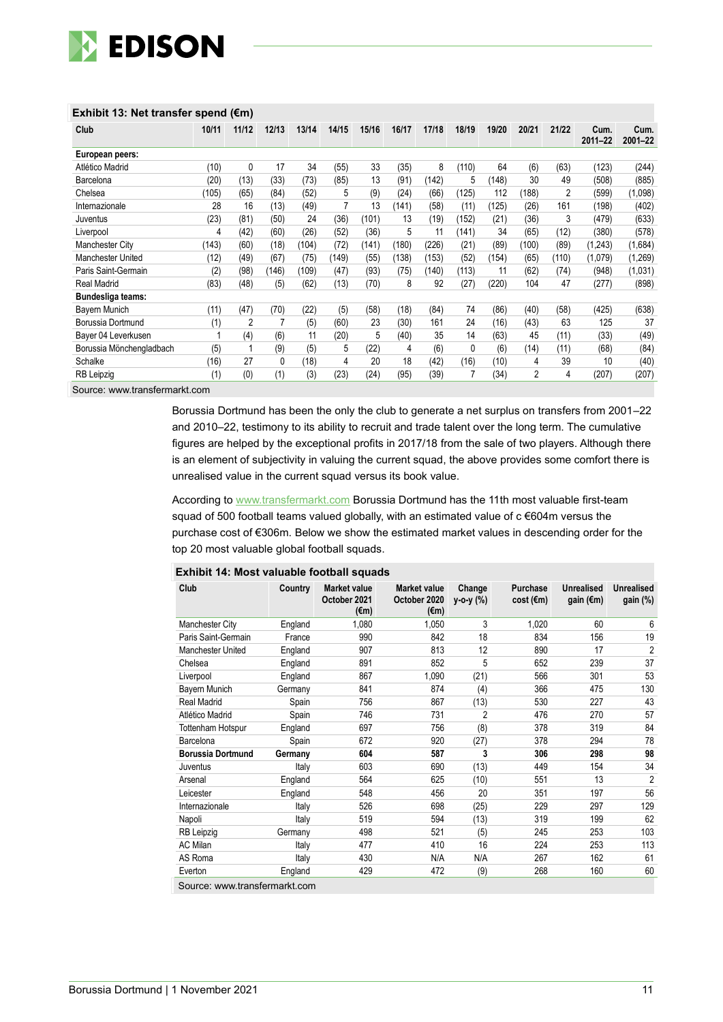

| Club                     | 10/11 | 11/12        | 12/13 | 13/14 | 14/15 | 15/16 | 16/17 | 17/18 | 18/19 | 19/20 | 20/21 | 21/22          | Cum.<br>$2011 - 22$ | Cum.<br>$2001 - 22$ |
|--------------------------|-------|--------------|-------|-------|-------|-------|-------|-------|-------|-------|-------|----------------|---------------------|---------------------|
| European peers:          |       |              |       |       |       |       |       |       |       |       |       |                |                     |                     |
| Atlético Madrid          | (10)  | $\mathbf{0}$ | 17    | 34    | (55)  | 33    | (35)  | 8     | (110) | 64    | (6)   | (63)           | (123)               | (244)               |
| Barcelona                | (20)  | (13)         | (33)  | (73)  | (85)  | 13    | (91)  | (142) | 5     | (148) | 30    | 49             | (508)               | (885)               |
| Chelsea                  | (105) | (65)         | (84)  | (52)  | 5     | (9)   | (24)  | (66)  | (125) | 112   | (188) | $\overline{2}$ | (599)               | (1,098)             |
| Internazionale           | 28    | 16           | (13)  | (49)  |       | 13    | (141) | (58)  | (11)  | (125) | (26)  | 161            | (198)               | (402)               |
| Juventus                 | (23)  | (81)         | (50)  | 24    | (36)  | (101) | 13    | (19)  | (152) | (21)  | (36)  | 3              | (479)               | (633)               |
| Liverpool                | 4     | (42)         | (60)  | (26)  | (52)  | (36)  | 5     | 11    | (141) | 34    | (65)  | (12)           | (380)               | (578)               |
| <b>Manchester City</b>   | (143) | (60)         | (18)  | (104) | (72)  | (141) | (180) | (226) | (21)  | (89)  | (100) | (89)           | (1,243)             | (1,684)             |
| <b>Manchester United</b> | (12)  | (49)         | (67)  | (75)  | (149) | (55)  | (138) | (153) | (52)  | (154) | (65)  | (110)          | (1,079)             | (1, 269)            |
| Paris Saint-Germain      | (2)   | (98)         | (146) | (109) | (47)  | (93)  | (75)  | (140) | (113) | 11    | (62)  | (74)           | (948)               | (1,031)             |
| <b>Real Madrid</b>       | (83)  | (48)         | (5)   | (62)  | (13)  | (70)  | 8     | 92    | (27)  | (220) | 104   | 47             | (277)               | (898)               |
| Bundesliga teams:        |       |              |       |       |       |       |       |       |       |       |       |                |                     |                     |
| Bayern Munich            | (11)  | (47)         | (70)  | (22)  | (5)   | (58)  | (18)  | (84)  | 74    | (86)  | (40)  | (58)           | (425)               | (638)               |
| Borussia Dortmund        | (1)   | 2            |       | (5)   | (60)  | 23    | (30)  | 161   | 24    | (16)  | (43)  | 63             | 125                 | 37                  |
| Bayer 04 Leverkusen      |       | (4)          | (6)   | 11    | (20)  | 5     | (40)  | 35    | 14    | (63)  | 45    | (11)           | (33)                | (49)                |
| Borussia Mönchengladbach | (5)   |              | (9)   | (5)   | 5     | (22)  | 4     | (6)   | 0     | (6)   | (14)  | (11)           | (68)                | (84)                |
| Schalke                  | (16)  | 27           | 0     | (18)  | 4     | 20    | 18    | (42)  | (16)  | (10)  | 4     | 39             | 10                  | (40)                |
| RB Leipzig               | (1)   | (0)          | (1)   | (3)   | (23)  | (24)  | (95)  | (39)  |       | (34)  | 2     | 4              | (207)               | (207)               |

Borussia Dortmund has been the only the club to generate a net surplus on transfers from 2001–22 and 2010–22, testimony to its ability to recruit and trade talent over the long term. The cumulative figures are helped by the exceptional profits in 2017/18 from the sale of two players. Although there is an element of subjectivity in valuing the current squad, the above provides some comfort there is unrealised value in the current squad versus its book value.

According to [www.transfermarkt.com](http://www.transfermarkt.com/) Borussia Dortmund has the 11th most valuable first-team squad of 500 football teams valued globally, with an estimated value of c €604m versus the purchase cost of €306m. Below we show the estimated market values in descending order for the top 20 most valuable global football squads.

| Club                     | Country | <b>Market value</b><br>October 2021<br>$(\epsilon m)$ | <b>Market value</b><br>October 2020<br>$(\epsilon m)$ | Change<br>y-o-y (%) | Purchase<br>$cost$ ( $\epsilon$ m) | <b>Unrealised</b><br>gain $(\epsilon m)$ | <b>Unrealised</b><br>gain (%) |
|--------------------------|---------|-------------------------------------------------------|-------------------------------------------------------|---------------------|------------------------------------|------------------------------------------|-------------------------------|
| Manchester City          | England | 1,080                                                 | 1,050                                                 | 3                   | 1,020                              | 60                                       | 6                             |
| Paris Saint-Germain      | France  | 990                                                   | 842                                                   | 18                  | 834                                | 156                                      | 19                            |
| Manchester United        | England | 907                                                   | 813                                                   | 12                  | 890                                | 17                                       | $\overline{2}$                |
| Chelsea                  | England | 891                                                   | 852                                                   | 5                   | 652                                | 239                                      | 37                            |
| Liverpool                | England | 867                                                   | 1,090                                                 | (21)                | 566                                | 301                                      | 53                            |
| Bayern Munich            | Germany | 841                                                   | 874                                                   | (4)                 | 366                                | 475                                      | 130                           |
| <b>Real Madrid</b>       | Spain   | 756                                                   | 867                                                   | (13)                | 530                                | 227                                      | 43                            |
| Atlético Madrid          | Spain   | 746                                                   | 731                                                   | 2                   | 476                                | 270                                      | 57                            |
| Tottenham Hotspur        | England | 697                                                   | 756                                                   | (8)                 | 378                                | 319                                      | 84                            |
| Barcelona                | Spain   | 672                                                   | 920                                                   | (27)                | 378                                | 294                                      | 78                            |
| <b>Borussia Dortmund</b> | Germany | 604                                                   | 587                                                   | 3                   | 306                                | 298                                      | 98                            |
| Juventus                 | Italy   | 603                                                   | 690                                                   | (13)                | 449                                | 154                                      | 34                            |
| Arsenal                  | England | 564                                                   | 625                                                   | (10)                | 551                                | 13                                       | $\overline{2}$                |
| Leicester                | England | 548                                                   | 456                                                   | 20                  | 351                                | 197                                      | 56                            |
| Internazionale           | Italy   | 526                                                   | 698                                                   | (25)                | 229                                | 297                                      | 129                           |
| Napoli                   | Italy   | 519                                                   | 594                                                   | (13)                | 319                                | 199                                      | 62                            |
| RB Leipzig               | Germany | 498                                                   | 521                                                   | (5)                 | 245                                | 253                                      | 103                           |
| <b>AC Milan</b>          | Italy   | 477                                                   | 410                                                   | 16                  | 224                                | 253                                      | 113                           |
| AS Roma                  | Italy   | 430                                                   | N/A                                                   | N/A                 | 267                                | 162                                      | 61                            |
| Everton                  | England | 429                                                   | 472                                                   | (9)                 | 268                                | 160                                      | 60                            |

**Exhibit 14: Most valuable football squads**

Source: www.transfermarkt.com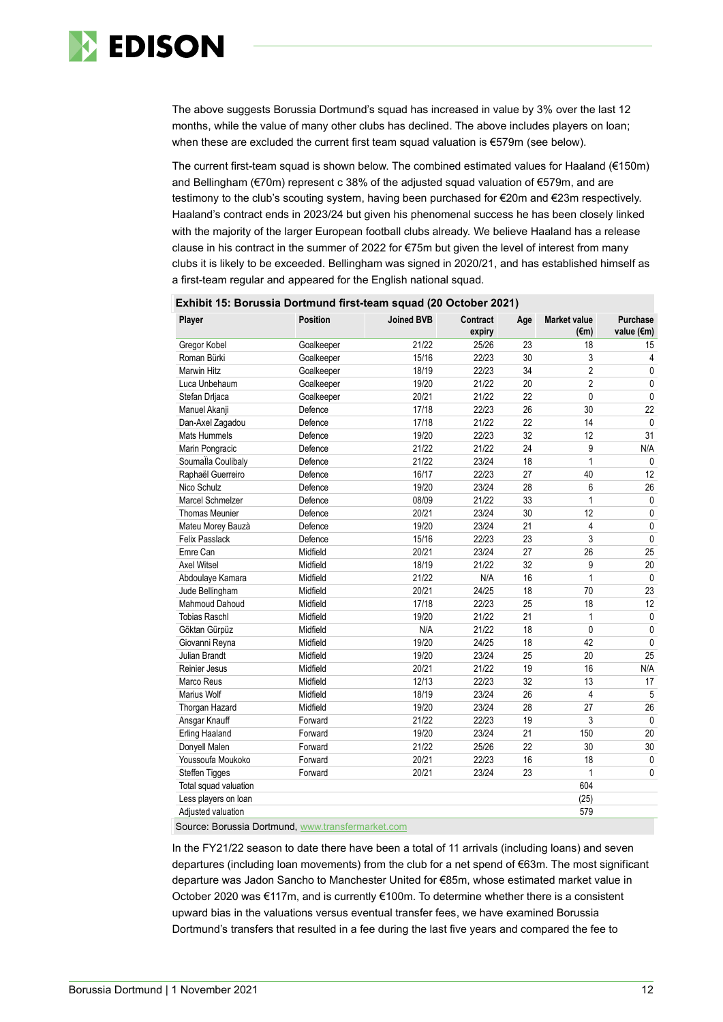

The above suggests Borussia Dortmund's squad has increased in value by 3% over the last 12 months, while the value of many other clubs has declined. The above includes players on loan; when these are excluded the current first team squad valuation is €579m (see below).

The current first-team squad is shown below. The combined estimated values for Haaland (€150m) and Bellingham (€70m) represent c 38% of the adjusted squad valuation of €579m, and are testimony to the club's scouting system, having been purchased for €20m and €23m respectively. Haaland's contract ends in 2023/24 but given his phenomenal success he has been closely linked with the majority of the larger European football clubs already. We believe Haaland has a release clause in his contract in the summer of 2022 for €75m but given the level of interest from many clubs it is likely to be exceeded. Bellingham was signed in 2020/21, and has established himself as a first-team regular and appeared for the English national squad.

| Exnibit 15: Borussia Dortmund first-team squad (20 October 2021) |                 |                   |                    |     |                             |                        |
|------------------------------------------------------------------|-----------------|-------------------|--------------------|-----|-----------------------------|------------------------|
| Player                                                           | <b>Position</b> | <b>Joined BVB</b> | Contract<br>expiry | Age | <b>Market value</b><br>(€m) | Purchase<br>value (€m) |
| Gregor Kobel                                                     | Goalkeeper      | 21/22             | 25/26              | 23  | 18                          | 15                     |
| Roman Bürki                                                      | Goalkeeper      | 15/16             | 22/23              | 30  | 3                           | 4                      |
| <b>Marwin Hitz</b>                                               | Goalkeeper      | 18/19             | 22/23              | 34  | $\overline{2}$              | 0                      |
| Luca Unbehaum                                                    | Goalkeeper      | 19/20             | 21/22              | 20  | $\overline{2}$              | $\pmb{0}$              |
| Stefan Drljaca                                                   | Goalkeeper      | 20/21             | 21/22              | 22  | 0                           | $\mathbf 0$            |
| Manuel Akanji                                                    | Defence         | 17/18             | 22/23              | 26  | 30                          | 22                     |
| Dan-Axel Zagadou                                                 | Defence         | 17/18             | 21/22              | 22  | 14                          | $\mathbf 0$            |
| <b>Mats Hummels</b>                                              | Defence         | 19/20             | 22/23              | 32  | 12                          | 31                     |
| Marin Pongracic                                                  | Defence         | 21/22             | 21/22              | 24  | 9                           | N/A                    |
| Soumalla Coulibaly                                               | Defence         | 21/22             | 23/24              | 18  | $\overline{1}$              | 0                      |
| Raphaël Guerreiro                                                | Defence         | 16/17             | 22/23              | 27  | 40                          | 12                     |
| Nico Schulz                                                      | Defence         | 19/20             | 23/24              | 28  | 6                           | 26                     |
| <b>Marcel Schmelzer</b>                                          | Defence         | 08/09             | 21/22              | 33  | $\mathbf{1}$                | $\pmb{0}$              |
| <b>Thomas Meunier</b>                                            | Defence         | 20/21             | 23/24              | 30  | 12                          | $\pmb{0}$              |
| Mateu Morey Bauzà                                                | Defence         | 19/20             | 23/24              | 21  | 4                           | $\mathbf 0$            |
| <b>Felix Passlack</b>                                            | Defence         | 15/16             | 22/23              | 23  | 3                           | $\pmb{0}$              |
| Emre Can                                                         | Midfield        | 20/21             | 23/24              | 27  | 26                          | 25                     |
| <b>Axel Witsel</b>                                               | Midfield        | 18/19             | 21/22              | 32  | 9                           | 20                     |
| Abdoulaye Kamara                                                 | Midfield        | 21/22             | N/A                | 16  | $\mathbf{1}$                | $\mathbf 0$            |
| Jude Bellingham                                                  | Midfield        | 20/21             | 24/25              | 18  | 70                          | 23                     |
| <b>Mahmoud Dahoud</b>                                            | Midfield        | 17/18             | 22/23              | 25  | 18                          | 12                     |
| <b>Tobias Raschl</b>                                             | Midfield        | 19/20             | 21/22              | 21  | $\mathbf{1}$                | $\pmb{0}$              |
| Göktan Gürpüz                                                    | Midfield        | N/A               | 21/22              | 18  | 0                           | $\pmb{0}$              |
| Giovanni Reyna                                                   | Midfield        | 19/20             | 24/25              | 18  | 42                          | $\mathbf{0}$           |
| Julian Brandt                                                    | Midfield        | 19/20             | 23/24              | 25  | 20                          | 25                     |
| <b>Reinier Jesus</b>                                             | Midfield        | 20/21             | 21/22              | 19  | 16                          | N/A                    |
| Marco Reus                                                       | Midfield        | 12/13             | 22/23              | 32  | 13                          | 17                     |
| <b>Marius Wolf</b>                                               | Midfield        | 18/19             | 23/24              | 26  | $\overline{4}$              | 5                      |
| Thorgan Hazard                                                   | Midfield        | 19/20             | 23/24              | 28  | 27                          | 26                     |
| Ansgar Knauff                                                    | Forward         | 21/22             | 22/23              | 19  | 3                           | $\pmb{0}$              |
| <b>Erling Haaland</b>                                            | Forward         | 19/20             | 23/24              | 21  | 150                         | 20                     |
| Donyell Malen                                                    | Forward         | 21/22             | 25/26              | 22  | 30                          | 30                     |
| Youssoufa Moukoko                                                | Forward         | 20/21             | 22/23              | 16  | 18                          | $\pmb{0}$              |
| Steffen Tigges                                                   | Forward         | 20/21             | 23/24              | 23  | $\mathbf{1}$                | $\mathbf 0$            |
| Total squad valuation                                            |                 |                   |                    |     | 604                         |                        |
| Less players on loan                                             |                 |                   |                    |     | (25)                        |                        |
| Adjusted valuation                                               |                 |                   |                    |     | 579                         |                        |

### **Exhibit 15: Borussia Dortmund first-team squad (20 October 2021)**

Source: Borussia Dortmund[, www.transfermarket.com](http://www.transfermarket.com/)

In the FY21/22 season to date there have been a total of 11 arrivals (including loans) and seven departures (including loan movements) from the club for a net spend of €63m. The most significant departure was Jadon Sancho to Manchester United for €85m, whose estimated market value in October 2020 was €117m, and is currently €100m. To determine whether there is a consistent upward bias in the valuations versus eventual transfer fees, we have examined Borussia Dortmund's transfers that resulted in a fee during the last five years and compared the fee to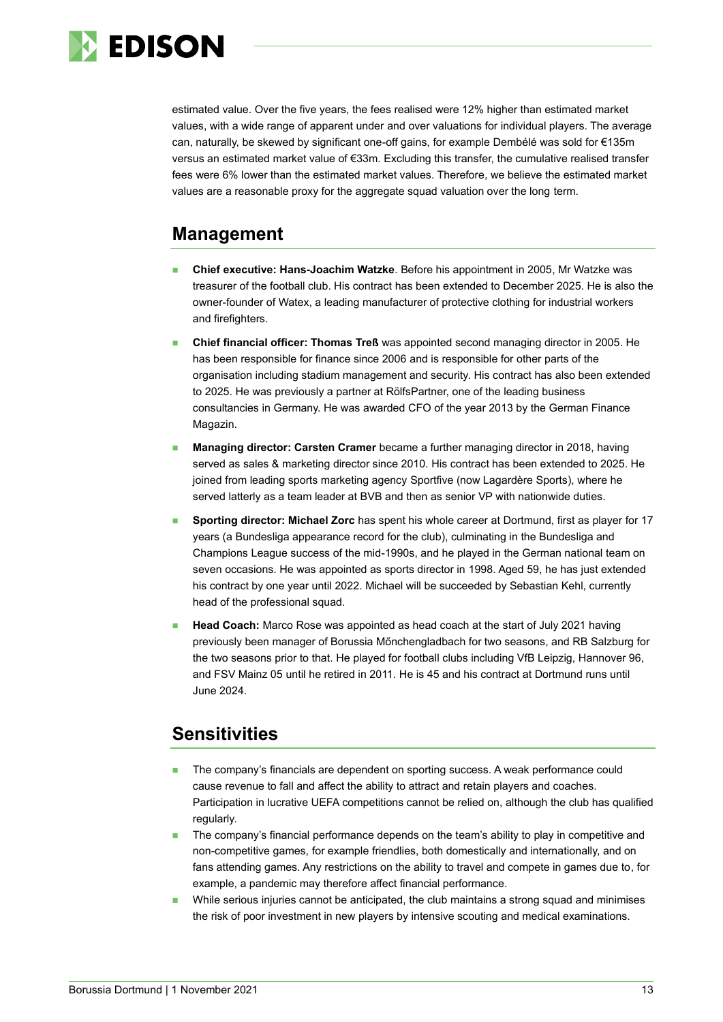

estimated value. Over the five years, the fees realised were 12% higher than estimated market values, with a wide range of apparent under and over valuations for individual players. The average can, naturally, be skewed by significant one-off gains, for example Dembélé was sold for €135m versus an estimated market value of €33m. Excluding this transfer, the cumulative realised transfer fees were 6% lower than the estimated market values. Therefore, we believe the estimated market values are a reasonable proxy for the aggregate squad valuation over the long term.

## **Management**

- ◼ **Chief executive: Hans-Joachim Watzke**. Before his appointment in 2005, Mr Watzke was treasurer of the football club. His contract has been extended to December 2025. He is also the owner-founder of Watex, a leading manufacturer of protective clothing for industrial workers and firefighters.
- ◼ **Chief financial officer: Thomas Treß** was appointed second managing director in 2005. He has been responsible for finance since 2006 and is responsible for other parts of the organisation including stadium management and security. His contract has also been extended to 2025. He was previously a partner at RölfsPartner, one of the leading business consultancies in Germany. He was awarded CFO of the year 2013 by the German Finance Magazin.
- **Managing director: Carsten Cramer** became a further managing director in 2018, having served as sales & marketing director since 2010. His contract has been extended to 2025. He joined from leading sports marketing agency Sportfive (now Lagardère Sports), where he served latterly as a team leader at BVB and then as senior VP with nationwide duties.
- ◼ **Sporting director: Michael Zorc** has spent his whole career at Dortmund, first as player for 17 years (a Bundesliga appearance record for the club), culminating in the Bundesliga and Champions League success of the mid-1990s, and he played in the German national team on seven occasions. He was appointed as sports director in 1998. Aged 59, he has just extended his contract by one year until 2022. Michael will be succeeded by Sebastian Kehl, currently head of the professional squad.
- **Head Coach:** Marco Rose was appointed as head coach at the start of July 2021 having previously been manager of Borussia Mőnchengladbach for two seasons, and RB Salzburg for the two seasons prior to that. He played for football clubs including VfB Leipzig, Hannover 96, and FSV Mainz 05 until he retired in 2011. He is 45 and his contract at Dortmund runs until June 2024.

## **Sensitivities**

- The company's financials are dependent on sporting success. A weak performance could cause revenue to fall and affect the ability to attract and retain players and coaches. Participation in lucrative UEFA competitions cannot be relied on, although the club has qualified regularly.
- The company's financial performance depends on the team's ability to play in competitive and non-competitive games, for example friendlies, both domestically and internationally, and on fans attending games. Any restrictions on the ability to travel and compete in games due to, for example, a pandemic may therefore affect financial performance.
- While serious injuries cannot be anticipated, the club maintains a strong squad and minimises the risk of poor investment in new players by intensive scouting and medical examinations.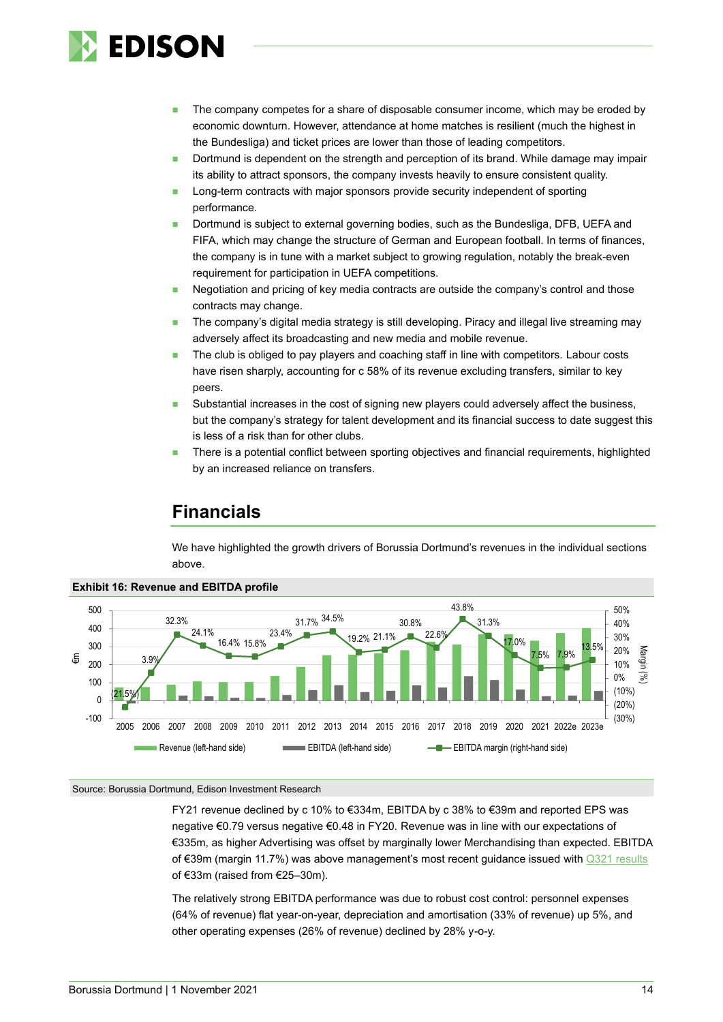

- The company competes for a share of disposable consumer income, which may be eroded by economic downturn. However, attendance at home matches is resilient (much the highest in the Bundesliga) and ticket prices are lower than those of leading competitors.
- Dortmund is dependent on the strength and perception of its brand. While damage may impair its ability to attract sponsors, the company invests heavily to ensure consistent quality.
- Long-term contracts with major sponsors provide security independent of sporting performance.
- Dortmund is subject to external governing bodies, such as the Bundesliga, DFB, UEFA and FIFA, which may change the structure of German and European football. In terms of finances, the company is in tune with a market subject to growing regulation, notably the break-even requirement for participation in UEFA competitions.
- Negotiation and pricing of key media contracts are outside the company's control and those contracts may change.
- The company's digital media strategy is still developing. Piracy and illegal live streaming may adversely affect its broadcasting and new media and mobile revenue.
- The club is obliged to pay players and coaching staff in line with competitors. Labour costs have risen sharply, accounting for c 58% of its revenue excluding transfers, similar to key peers.
- Substantial increases in the cost of signing new players could adversely affect the business, but the company's strategy for talent development and its financial success to date suggest this is less of a risk than for other clubs.
- There is a potential conflict between sporting objectives and financial requirements, highlighted by an increased reliance on transfers.

## **Financials**

We have highlighted the growth drivers of Borussia Dortmund's revenues in the individual sections above.



#### **Exhibit 16: Revenue and EBITDA profile**

#### Source: Borussia Dortmund, Edison Investment Research

FY21 revenue declined by c 10% to €334m, EBITDA by c 38% to €39m and reported EPS was negative €0.79 versus negative €0.48 in FY20. Revenue was in line with our expectations of €335m, as higher Advertising was offset by marginally lower Merchandising than expected. EBITDA of €39m (margin 11.7%) was above management's most recent guidance issued wit[h Q321 results](https://www.edisongroup.com/publication/nice-finish/29568) of €33m (raised from €25–30m).

The relatively strong EBITDA performance was due to robust cost control: personnel expenses (64% of revenue) flat year-on-year, depreciation and amortisation (33% of revenue) up 5%, and other operating expenses (26% of revenue) declined by 28% y-o-y.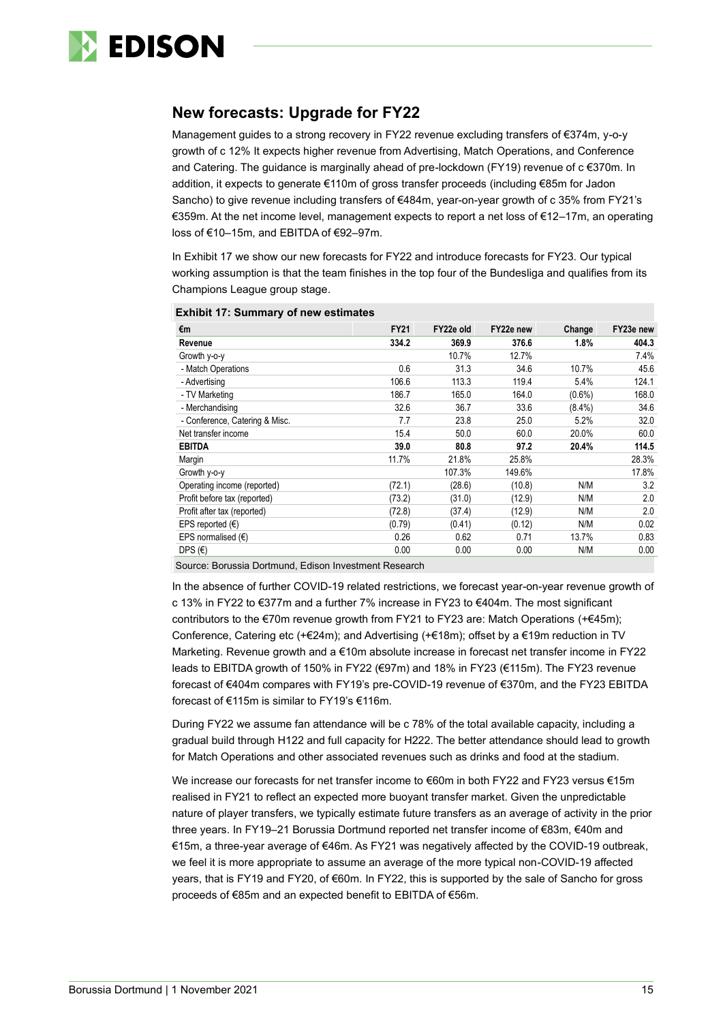

## **New forecasts: Upgrade for FY22**

Management guides to a strong recovery in FY22 revenue excluding transfers of €374m, y-o-y growth of c 12% It expects higher revenue from Advertising, Match Operations, and Conference and Catering. The guidance is marginally ahead of pre-lockdown (FY19) revenue of c €370m. In addition, it expects to generate €110m of gross transfer proceeds (including €85m for Jadon Sancho) to give revenue including transfers of €484m, year-on-year growth of c 35% from FY21's €359m. At the net income level, management expects to report a net loss of €12–17m, an operating loss of €10–15m, and EBITDA of €92–97m.

In Exhibit 17 we show our new forecasts for FY22 and introduce forecasts for FY23. Our typical working assumption is that the team finishes in the top four of the Bundesliga and qualifies from its Champions League group stage.

| €m                             | <b>FY21</b> | FY22e old | FY22e new | Change    | FY23e new |
|--------------------------------|-------------|-----------|-----------|-----------|-----------|
| Revenue                        | 334.2       | 369.9     | 376.6     | 1.8%      | 404.3     |
| Growth y-o-y                   |             | 10.7%     | 12.7%     |           | 7.4%      |
| - Match Operations             | 0.6         | 31.3      | 34.6      | 10.7%     | 45.6      |
| - Advertising                  | 106.6       | 113.3     | 119.4     | 5.4%      | 124.1     |
| - TV Marketing                 | 186.7       | 165.0     | 164.0     | $(0.6\%)$ | 168.0     |
| - Merchandising                | 32.6        | 36.7      | 33.6      | $(8.4\%)$ | 34.6      |
| - Conference, Catering & Misc. | 7.7         | 23.8      | 25.0      | 5.2%      | 32.0      |
| Net transfer income            | 15.4        | 50.0      | 60.0      | 20.0%     | 60.0      |
| <b>EBITDA</b>                  | 39.0        | 80.8      | 97.2      | 20.4%     | 114.5     |
| Margin                         | 11.7%       | 21.8%     | 25.8%     |           | 28.3%     |
| Growth y-o-y                   |             | 107.3%    | 149.6%    |           | 17.8%     |
| Operating income (reported)    | (72.1)      | (28.6)    | (10.8)    | N/M       | 3.2       |
| Profit before tax (reported)   | (73.2)      | (31.0)    | (12.9)    | N/M       | 2.0       |
| Profit after tax (reported)    | (72.8)      | (37.4)    | (12.9)    | N/M       | 2.0       |
| EPS reported $(\epsilon)$      | (0.79)      | (0.41)    | (0.12)    | N/M       | 0.02      |
| EPS normalised $(E)$           | 0.26        | 0.62      | 0.71      | 13.7%     | 0.83      |
| DPS $(E)$                      | 0.00        | 0.00      | 0.00      | N/M       | 0.00      |

#### **Exhibit 17: Summary of new estimates**

Source: Borussia Dortmund, Edison Investment Research

In the absence of further COVID-19 related restrictions, we forecast year-on-year revenue growth of c 13% in FY22 to €377m and a further 7% increase in FY23 to €404m. The most significant contributors to the €70m revenue growth from FY21 to FY23 are: Match Operations (+€45m); Conference, Catering etc (+€24m); and Advertising (+€18m); offset by a €19m reduction in TV Marketing. Revenue growth and a €10m absolute increase in forecast net transfer income in FY22 leads to EBITDA growth of 150% in FY22 (€97m) and 18% in FY23 (€115m). The FY23 revenue forecast of €404m compares with FY19's pre-COVID-19 revenue of €370m, and the FY23 EBITDA forecast of €115m is similar to FY19's €116m.

During FY22 we assume fan attendance will be c 78% of the total available capacity, including a gradual build through H122 and full capacity for H222. The better attendance should lead to growth for Match Operations and other associated revenues such as drinks and food at the stadium.

We increase our forecasts for net transfer income to €60m in both FY22 and FY23 versus €15m realised in FY21 to reflect an expected more buoyant transfer market. Given the unpredictable nature of player transfers, we typically estimate future transfers as an average of activity in the prior three years. In FY19–21 Borussia Dortmund reported net transfer income of €83m, €40m and €15m, a three-year average of €46m. As FY21 was negatively affected by the COVID-19 outbreak, we feel it is more appropriate to assume an average of the more typical non-COVID-19 affected years, that is FY19 and FY20, of €60m. In FY22, this is supported by the sale of Sancho for gross proceeds of €85m and an expected benefit to EBITDA of €56m.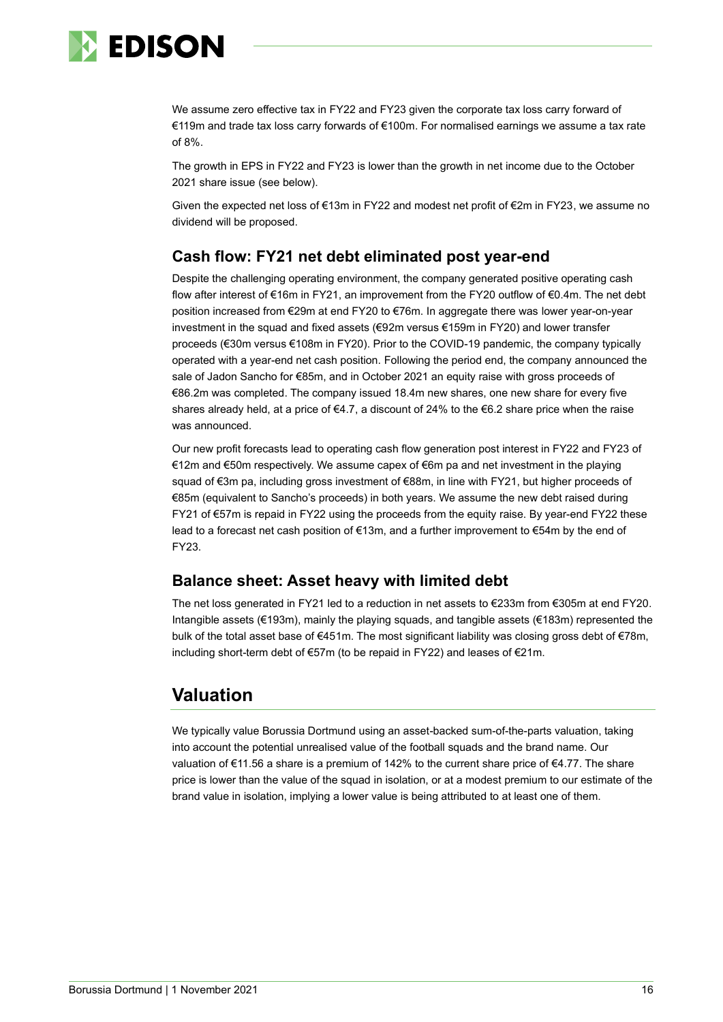

We assume zero effective tax in FY22 and FY23 given the corporate tax loss carry forward of €119m and trade tax loss carry forwards of €100m. For normalised earnings we assume a tax rate of 8%.

The growth in EPS in FY22 and FY23 is lower than the growth in net income due to the October 2021 share issue (see below).

Given the expected net loss of €13m in FY22 and modest net profit of €2m in FY23, we assume no dividend will be proposed.

## **Cash flow: FY21 net debt eliminated post year-end**

Despite the challenging operating environment, the company generated positive operating cash flow after interest of €16m in FY21, an improvement from the FY20 outflow of €0.4m. The net debt position increased from €29m at end FY20 to €76m. In aggregate there was lower year-on-year investment in the squad and fixed assets (€92m versus €159m in FY20) and lower transfer proceeds (€30m versus €108m in FY20). Prior to the COVID-19 pandemic, the company typically operated with a year-end net cash position. Following the period end, the company announced the sale of Jadon Sancho for €85m, and in October 2021 an equity raise with gross proceeds of €86.2m was completed. The company issued 18.4m new shares, one new share for every five shares already held, at a price of  $\epsilon$ 4.7, a discount of 24% to the  $\epsilon$ 6.2 share price when the raise was announced.

Our new profit forecasts lead to operating cash flow generation post interest in FY22 and FY23 of €12m and €50m respectively. We assume capex of €6m pa and net investment in the playing squad of €3m pa, including gross investment of €88m, in line with FY21, but higher proceeds of €85m (equivalent to Sancho's proceeds) in both years. We assume the new debt raised during FY21 of €57m is repaid in FY22 using the proceeds from the equity raise. By year-end FY22 these lead to a forecast net cash position of €13m, and a further improvement to €54m by the end of FY23.

## **Balance sheet: Asset heavy with limited debt**

The net loss generated in FY21 led to a reduction in net assets to €233m from €305m at end FY20. Intangible assets (€193m), mainly the playing squads, and tangible assets (€183m) represented the bulk of the total asset base of €451m. The most significant liability was closing gross debt of €78m, including short-term debt of €57m (to be repaid in FY22) and leases of €21m.

## **Valuation**

We typically value Borussia Dortmund using an asset-backed sum-of-the-parts valuation, taking into account the potential unrealised value of the football squads and the brand name. Our valuation of €11.56 a share is a premium of 142% to the current share price of €4.77. The share price is lower than the value of the squad in isolation, or at a modest premium to our estimate of the brand value in isolation, implying a lower value is being attributed to at least one of them.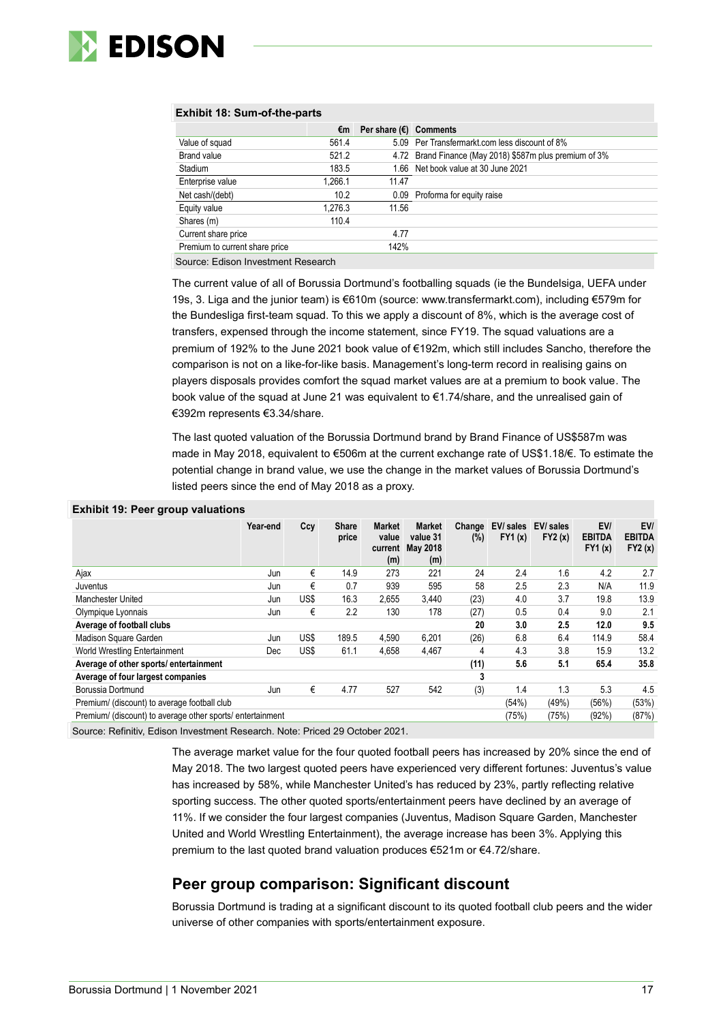

#### **Exhibit 18: Sum-of-the-parts**

|                                | €m      | Per share $(E)$ Comments |                                                         |
|--------------------------------|---------|--------------------------|---------------------------------------------------------|
| Value of squad                 | 561.4   |                          | 5.09 Per Transfermarkt.com less discount of 8%          |
| <b>Brand value</b>             | 521.2   |                          | 4.72 Brand Finance (May 2018) \$587m plus premium of 3% |
| Stadium                        | 183.5   |                          | 1.66 Net book value at 30 June 2021                     |
| Enterprise value               | 1.266.1 | 11.47                    |                                                         |
| Net cash/(debt)                | 10.2    |                          | 0.09 Proforma for equity raise                          |
| Equity value                   | 1.276.3 | 11.56                    |                                                         |
| Shares (m)                     | 110.4   |                          |                                                         |
| Current share price            |         | 4.77                     |                                                         |
| Premium to current share price |         | 142%                     |                                                         |

Source: Edison Investment Research

The current value of all of Borussia Dortmund's footballing squads (ie the Bundelsiga, UEFA under 19s, 3. Liga and the junior team) is €610m (source: www.transfermarkt.com), including €579m for the Bundesliga first-team squad. To this we apply a discount of 8%, which is the average cost of transfers, expensed through the income statement, since FY19. The squad valuations are a premium of 192% to the June 2021 book value of €192m, which still includes Sancho, therefore the comparison is not on a like-for-like basis. Management's long-term record in realising gains on players disposals provides comfort the squad market values are at a premium to book value. The book value of the squad at June 21 was equivalent to €1.74/share, and the unrealised gain of €392m represents €3.34/share.

The last quoted valuation of the Borussia Dortmund brand by Brand Finance of US\$587m was made in May 2018, equivalent to €506m at the current exchange rate of US\$1.18/€. To estimate the potential change in brand value, we use the change in the market values of Borussia Dortmund's listed peers since the end of May 2018 as a proxy.

#### **Exhibit 19: Peer group valuations**

| $- - - - -$                                                |          |      |                       |                                          |                                              |               |                     |                     |                                |                                |
|------------------------------------------------------------|----------|------|-----------------------|------------------------------------------|----------------------------------------------|---------------|---------------------|---------------------|--------------------------------|--------------------------------|
|                                                            | Year-end | Ccy  | <b>Share</b><br>price | <b>Market</b><br>value<br>current<br>(m) | <b>Market</b><br>value 31<br>May 2018<br>(m) | Change<br>(%) | EV/ sales<br>FY1(x) | EV/ sales<br>FY2(x) | EV/<br><b>EBITDA</b><br>FY1(x) | EV/<br><b>EBITDA</b><br>FY2(x) |
| Ajax                                                       | Jun      | €    | 14.9                  | 273                                      | 221                                          | 24            | 2.4                 | 1.6                 | 4.2                            | 2.7                            |
| Juventus                                                   | Jun      | €    | 0.7                   | 939                                      | 595                                          | 58            | 2.5                 | 2.3                 | N/A                            | 11.9                           |
| Manchester United                                          | Jun      | US\$ | 16.3                  | 2,655                                    | 3.440                                        | (23)          | 4.0                 | 3.7                 | 19.8                           | 13.9                           |
| Olympique Lyonnais                                         | Jun      | €    | 2.2                   | 130                                      | 178                                          | (27)          | 0.5                 | 0.4                 | 9.0                            | 2.1                            |
| Average of football clubs                                  |          |      |                       |                                          |                                              | 20            | 3.0                 | 2.5                 | 12.0                           | 9.5                            |
| Madison Square Garden                                      | Jun      | US\$ | 189.5                 | 4,590                                    | 6.201                                        | (26)          | 6.8                 | 6.4                 | 114.9                          | 58.4                           |
| World Wrestling Entertainment                              | Dec      | US\$ | 61.1                  | 4,658                                    | 4,467                                        | 4             | 4.3                 | 3.8                 | 15.9                           | 13.2                           |
| Average of other sports/entertainment                      |          |      |                       |                                          |                                              | (11)          | 5.6                 | 5.1                 | 65.4                           | 35.8                           |
| Average of four largest companies                          |          |      |                       |                                          |                                              | 3             |                     |                     |                                |                                |
| Borussia Dortmund                                          | Jun      | €    | 4.77                  | 527                                      | 542                                          | (3)           | 1.4                 | 1.3                 | 5.3                            | 4.5                            |
| Premium/ (discount) to average football club               |          |      |                       |                                          |                                              |               | (54%)               | (49%)               | (56%)                          | (53%)                          |
| Premium/ (discount) to average other sports/ entertainment |          |      |                       |                                          |                                              |               | (75%)               | (75%)               | (92%)                          | (87%)                          |
|                                                            |          |      |                       |                                          |                                              |               |                     |                     |                                |                                |

Source: Refinitiv, Edison Investment Research. Note: Priced 29 October 2021.

The average market value for the four quoted football peers has increased by 20% since the end of May 2018. The two largest quoted peers have experienced very different fortunes: Juventus's value has increased by 58%, while Manchester United's has reduced by 23%, partly reflecting relative sporting success. The other quoted sports/entertainment peers have declined by an average of 11%. If we consider the four largest companies (Juventus, Madison Square Garden, Manchester United and World Wrestling Entertainment), the average increase has been 3%. Applying this premium to the last quoted brand valuation produces €521m or €4.72/share.

### **Peer group comparison: Significant discount**

Borussia Dortmund is trading at a significant discount to its quoted football club peers and the wider universe of other companies with sports/entertainment exposure.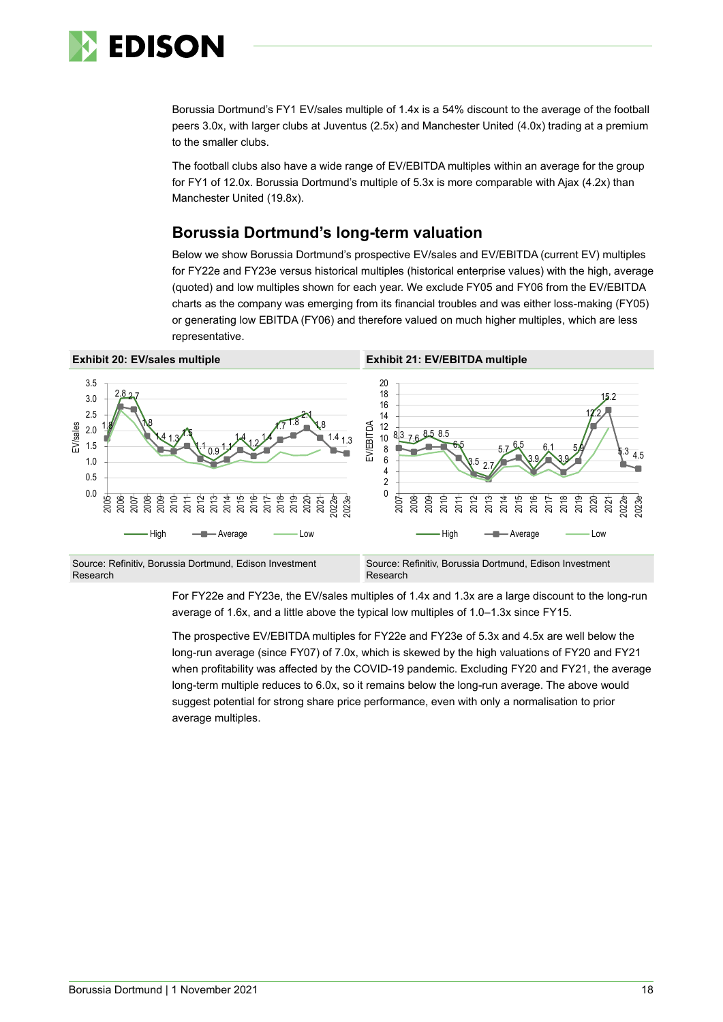

Borussia Dortmund's FY1 EV/sales multiple of 1.4x is a 54% discount to the average of the football peers 3.0x, with larger clubs at Juventus (2.5x) and Manchester United (4.0x) trading at a premium to the smaller clubs.

The football clubs also have a wide range of EV/EBITDA multiples within an average for the group for FY1 of 12.0x. Borussia Dortmund's multiple of 5.3x is more comparable with Ajax (4.2x) than Manchester United (19.8x).

## **Borussia Dortmund's long-term valuation**

Below we show Borussia Dortmund's prospective EV/sales and EV/EBITDA (current EV) multiples for FY22e and FY23e versus historical multiples (historical enterprise values) with the high, average (quoted) and low multiples shown for each year. We exclude FY05 and FY06 from the EV/EBITDA charts as the company was emerging from its financial troubles and was either loss-making (FY05) or generating low EBITDA (FY06) and therefore valued on much higher multiples, which are less representative.



For FY22e and FY23e, the EV/sales multiples of 1.4x and 1.3x are a large discount to the long-run average of 1.6x, and a little above the typical low multiples of 1.0–1.3x since FY15.

The prospective EV/EBITDA multiples for FY22e and FY23e of 5.3x and 4.5x are well below the long-run average (since FY07) of 7.0x, which is skewed by the high valuations of FY20 and FY21 when profitability was affected by the COVID-19 pandemic. Excluding FY20 and FY21, the average long-term multiple reduces to 6.0x, so it remains below the long-run average. The above would suggest potential for strong share price performance, even with only a normalisation to prior average multiples.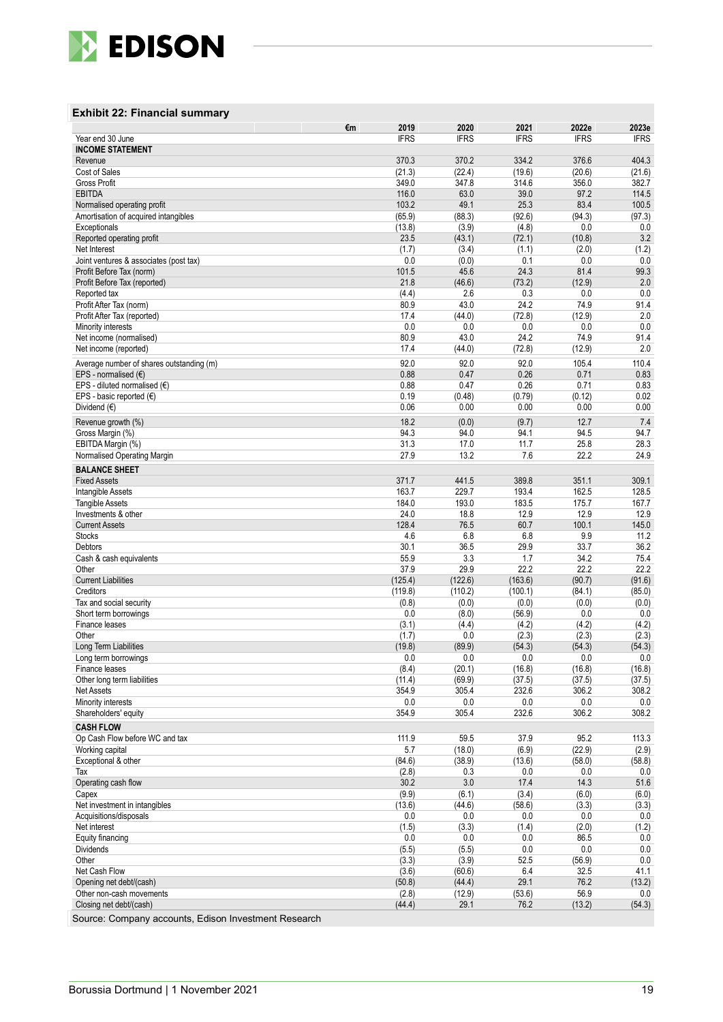

#### **Exhibit 22: Financial summary**

|                                                                    | €m<br>2019      | 2020           | 2021           | 2022e          | 2023e         |
|--------------------------------------------------------------------|-----------------|----------------|----------------|----------------|---------------|
| Year end 30 June                                                   | <b>IFRS</b>     | <b>IFRS</b>    | <b>IFRS</b>    | <b>IFRS</b>    | <b>IFRS</b>   |
| <b>INCOME STATEMENT</b>                                            |                 |                |                |                |               |
| Revenue                                                            | 370.3           | 370.2          | 334.2          | 376.6          | 404.3         |
| Cost of Sales                                                      | (21.3)          | (22.4)         | (19.6)         | (20.6)         | (21.6)        |
| <b>Gross Profit</b>                                                | 349.0           | 347.8          | 314.6          | 356.0          | 382.7         |
| <b>EBITDA</b>                                                      | 116.0           | 63.0           | 39.0           | 97.2           | 114.5         |
| Normalised operating profit                                        | 103.2           | 49.1           | 25.3           | 83.4           | 100.5         |
| Amortisation of acquired intangibles                               | (65.9)          | (88.3)         | (92.6)         | (94.3)         | (97.3)        |
| Exceptionals                                                       | (13.8)          | (3.9)          | (4.8)          | 0.0            | 0.0           |
| Reported operating profit                                          | 23.5            | (43.1)         | (72.1)         | (10.8)         | 3.2           |
| Net Interest                                                       | (1.7)<br>0.0    | (3.4)<br>(0.0) | (1.1)<br>0.1   | (2.0)<br>0.0   | (1.2)<br>0.0  |
| Joint ventures & associates (post tax)<br>Profit Before Tax (norm) | 101.5           | 45.6           | 24.3           | 81.4           | 99.3          |
| Profit Before Tax (reported)                                       | 21.8            | (46.6)         | (73.2)         | (12.9)         | 2.0           |
| Reported tax                                                       | (4.4)           | 2.6            | 0.3            | 0.0            | 0.0           |
| Profit After Tax (norm)                                            | 80.9            | 43.0           | 24.2           | 74.9           | 91.4          |
| Profit After Tax (reported)                                        | 17.4            | (44.0)         | (72.8)         | (12.9)         | 2.0           |
| Minority interests                                                 | 0.0             | 0.0            | 0.0            | 0.0            | 0.0           |
| Net income (normalised)                                            | 80.9            | 43.0           | 24.2           | 74.9           | 91.4          |
| Net income (reported)                                              | 17.4            | (44.0)         | (72.8)         | (12.9)         | 2.0           |
|                                                                    | 92.0            |                |                | 105.4          |               |
| Average number of shares outstanding (m)<br>EPS - normalised $(6)$ | 0.88            | 92.0<br>0.47   | 92.0<br>0.26   | 0.71           | 110.4<br>0.83 |
| EPS - diluted normalised $(€)$                                     | 0.88            | 0.47           | 0.26           | 0.71           | 0.83          |
| EPS - basic reported $(€)$                                         | 0.19            | (0.48)         | (0.79)         | (0.12)         | 0.02          |
| Dividend $(€)$                                                     | 0.06            | 0.00           | 0.00           | 0.00           | 0.00          |
|                                                                    |                 |                |                |                |               |
| Revenue growth (%)                                                 | 18.2            | (0.0)          | (9.7)          | 12.7           | 7.4           |
| Gross Margin (%)                                                   | 94.3            | 94.0           | 94.1           | 94.5           | 94.7          |
| EBITDA Margin (%)                                                  | 31.3            | 17.0           | 11.7           | 25.8           | 28.3          |
| Normalised Operating Margin                                        | 27.9            | 13.2           | 7.6            | 22.2           | 24.9          |
| <b>BALANCE SHEET</b>                                               |                 |                |                |                |               |
| <b>Fixed Assets</b>                                                | 371.7           | 441.5          | 389.8          | 351.1          | 309.1         |
| Intangible Assets                                                  | 163.7           | 229.7          | 193.4          | 162.5          | 128.5         |
| <b>Tangible Assets</b>                                             | 184.0           | 193.0          | 183.5          | 175.7          | 167.7         |
| Investments & other                                                | 24.0            | 18.8           | 12.9           | 12.9           | 12.9          |
| <b>Current Assets</b>                                              | 128.4           | 76.5           | 60.7           | 100.1          | 145.0         |
| <b>Stocks</b>                                                      | 4.6             | 6.8            | 6.8            | 9.9            | 11.2          |
| Debtors                                                            | 30.1            | 36.5           | 29.9           | 33.7           | 36.2          |
| Cash & cash equivalents<br>Other                                   | 55.9<br>37.9    | 3.3<br>29.9    | 1.7<br>22.2    | 34.2<br>22.2   | 75.4<br>22.2  |
| <b>Current Liabilities</b>                                         | (125.4)         | (122.6)        | (163.6)        | (90.7)         | (91.6)        |
| Creditors                                                          | (119.8)         | (110.2)        | (100.1)        | (84.1)         | (85.0)        |
| Tax and social security                                            | (0.8)           | (0.0)          | (0.0)          | (0.0)          | (0.0)         |
| Short term borrowings                                              | 0.0             | (8.0)          | (56.9)         | 0.0            | 0.0           |
| Finance leases                                                     | (3.1)           | (4.4)          | (4.2)          | (4.2)          | (4.2)         |
| Other                                                              | (1.7)           | 0.0            | (2.3)          | (2.3)          | (2.3)         |
| Long Term Liabilities                                              | (19.8)          | (89.9)         | (54.3)         | (54.3)         | (54.3)        |
| Long term borrowings                                               | 0.0             | 0.0            | 0.0            | 0.0            | 0.0           |
| Finance leases                                                     | (8.4)           | (20.1)         | (16.8)         | (16.8)         | (16.8)        |
| Other long term liabilities                                        | (11.4)          | (69.9)         | (37.5)         | (37.5)         | (37.5)        |
| <b>Net Assets</b>                                                  | 354.9           | 305.4          | 232.6          | 306.2          | 308.2         |
| Minority interests                                                 | $0.0\,$         | $0.0\,$        | 0.0            | 0.0            | 0.0           |
| Shareholders' equity                                               | 354.9           | 305.4          | 232.6          | 306.2          | 308.2         |
| <b>CASH FLOW</b>                                                   |                 |                |                |                |               |
| Op Cash Flow before WC and tax                                     | 111.9           | 59.5           | 37.9           | 95.2           | 113.3         |
| Working capital                                                    | 5.7             | (18.0)         | (6.9)          | (22.9)         | (2.9)         |
| Exceptional & other                                                | (84.6)          | (38.9)         | (13.6)         | (58.0)         | (58.8)        |
| Tax                                                                | (2.8)           | 0.3            | 0.0            | 0.0            | 0.0           |
| Operating cash flow                                                | 30.2            | 3.0            | 17.4           | 14.3           | 51.6          |
| Capex                                                              | (9.9)           | (6.1)          | (3.4)          | (6.0)          | (6.0)         |
| Net investment in intangibles                                      | (13.6)          | (44.6)         | (58.6)         | (3.3)          | (3.3)         |
| Acquisitions/disposals                                             | 0.0             | 0.0            | 0.0            | 0.0            | 0.0           |
| Net interest                                                       | (1.5)           | (3.3)          | (1.4)          | (2.0)          | (1.2)         |
| Equity financing                                                   | 0.0             | 0.0            | 0.0            | 86.5           | 0.0           |
| Dividends                                                          | (5.5)           | (5.5)          | 0.0            | 0.0            | 0.0           |
| Other                                                              | (3.3)           | (3.9)          | 52.5           | (56.9)         | $0.0\,$       |
| Net Cash Flow                                                      | (3.6)           | (60.6)         | 6.4            | 32.5           | 41.1          |
| Opening net debt/(cash)                                            | (50.8)          | (44.4)         | 29.1           | 76.2           | (13.2)        |
| Other non-cash movements                                           | (2.8)<br>(44.4) | (12.9)<br>29.1 | (53.6)<br>76.2 | 56.9<br>(13.2) | 0.0<br>(54.3) |
| Closing net debt/(cash)                                            |                 |                |                |                |               |

Source: Company accounts, Edison Investment Research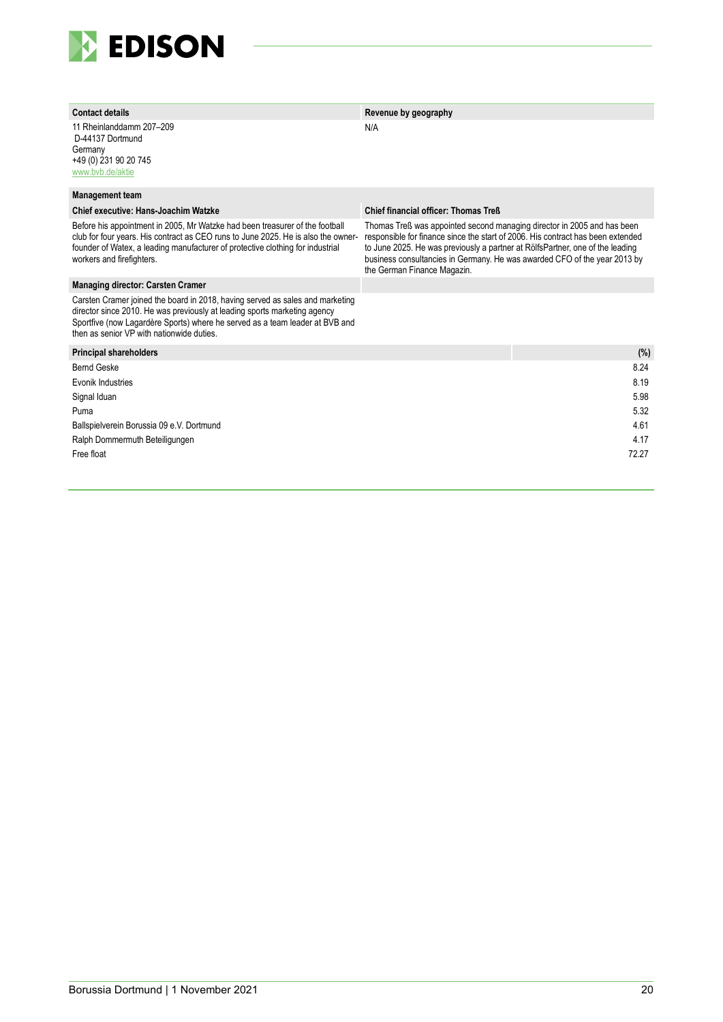

| <b>Contact details</b>                                                                                                                                                                                                                                                                 | Revenue by geography                                                                                                                                                                                                                                                                                                                                    |       |
|----------------------------------------------------------------------------------------------------------------------------------------------------------------------------------------------------------------------------------------------------------------------------------------|---------------------------------------------------------------------------------------------------------------------------------------------------------------------------------------------------------------------------------------------------------------------------------------------------------------------------------------------------------|-------|
| 11 Rheinlanddamm 207-209<br>D-44137 Dortmund<br>Germany<br>+49 (0) 231 90 20 745<br>www.bvb.de/aktie                                                                                                                                                                                   | N/A                                                                                                                                                                                                                                                                                                                                                     |       |
| <b>Management team</b>                                                                                                                                                                                                                                                                 |                                                                                                                                                                                                                                                                                                                                                         |       |
| Chief executive: Hans-Joachim Watzke                                                                                                                                                                                                                                                   | <b>Chief financial officer: Thomas Treß</b>                                                                                                                                                                                                                                                                                                             |       |
| Before his appointment in 2005. Mr Watzke had been treasurer of the football<br>club for four years. His contract as CEO runs to June 2025. He is also the owner-<br>founder of Watex, a leading manufacturer of protective clothing for industrial<br>workers and firefighters.       | Thomas Treß was appointed second managing director in 2005 and has been<br>responsible for finance since the start of 2006. His contract has been extended<br>to June 2025. He was previously a partner at RölfsPartner, one of the leading<br>business consultancies in Germany. He was awarded CFO of the year 2013 by<br>the German Finance Magazin. |       |
| <b>Managing director: Carsten Cramer</b>                                                                                                                                                                                                                                               |                                                                                                                                                                                                                                                                                                                                                         |       |
| Carsten Cramer joined the board in 2018, having served as sales and marketing<br>director since 2010. He was previously at leading sports marketing agency<br>Sportfive (now Lagardère Sports) where he served as a team leader at BVB and<br>then as senior VP with nationwide duties |                                                                                                                                                                                                                                                                                                                                                         |       |
| <b>Principal shareholders</b>                                                                                                                                                                                                                                                          |                                                                                                                                                                                                                                                                                                                                                         | (%)   |
| <b>Bernd Geske</b>                                                                                                                                                                                                                                                                     |                                                                                                                                                                                                                                                                                                                                                         | 8.24  |
| Evonik Industries                                                                                                                                                                                                                                                                      |                                                                                                                                                                                                                                                                                                                                                         | 8.19  |
| Signal Iduan                                                                                                                                                                                                                                                                           |                                                                                                                                                                                                                                                                                                                                                         | 5.98  |
| Puma                                                                                                                                                                                                                                                                                   |                                                                                                                                                                                                                                                                                                                                                         | 5.32  |
| Ballspielverein Borussia 09 e.V. Dortmund                                                                                                                                                                                                                                              |                                                                                                                                                                                                                                                                                                                                                         | 4.61  |
| Ralph Dommermuth Beteiligungen                                                                                                                                                                                                                                                         |                                                                                                                                                                                                                                                                                                                                                         | 4.17  |
| Free float                                                                                                                                                                                                                                                                             |                                                                                                                                                                                                                                                                                                                                                         | 72.27 |
|                                                                                                                                                                                                                                                                                        |                                                                                                                                                                                                                                                                                                                                                         |       |